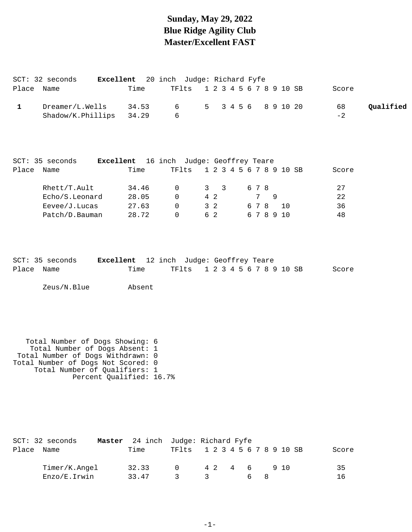### **Sunday, May 29, 2022 Blue Ridge Agility Club Master/Excellent FAST**

|            | $SCT: 32$ seconds       |       | Excellent 20 inch Judge: Richard Fyfe |  |  |  |  |       |           |
|------------|-------------------------|-------|---------------------------------------|--|--|--|--|-------|-----------|
| Place Name |                         | Time  | TF1ts 1 2 3 4 5 6 7 8 9 10 SB         |  |  |  |  | Score |           |
|            | Dreamer/L.Wells         | 34.53 | 6 5 3 4 5 6 8 9 10 20                 |  |  |  |  | 68    | Qualified |
|            | Shadow/K.Phillips 34.29 |       |                                       |  |  |  |  | $-2$  |           |

|       | SCT: 35 seconds | Excellent |       | 16 inch Judge: Geoffrey Teare |       |     |                           |                         |     |  |        |       |
|-------|-----------------|-----------|-------|-------------------------------|-------|-----|---------------------------|-------------------------|-----|--|--------|-------|
| Place | Name            | Time      |       |                               | TFlts |     |                           | 1 2 3 4 5 6 7 8 9 10 SB |     |  |        | Score |
|       | Rhett/T.Ault    |           | 34.46 | - 0                           |       | 3   | $\overline{\phantom{a}3}$ |                         | 678 |  |        | 27    |
|       | Echo/S.Leonard  |           | 28.05 | $\Omega$                      |       | 4 2 |                           |                         | 7   |  |        | 22    |
|       | Eevee/J.Lucas   |           | 27.63 | $\Omega$                      |       | 3 2 |                           |                         | 678 |  | - 1 O  | 36    |
|       | Patch/D.Bauman  |           | 28.72 | $\Omega$                      |       | 62  |                           |                         |     |  | 678910 | 48    |

|            | SCT: 35 seconds | <b>Excellent</b> 12 inch Judge: Geoffrey Teare |  |                               |  |  |  |  |  |       |
|------------|-----------------|------------------------------------------------|--|-------------------------------|--|--|--|--|--|-------|
| Place Name |                 | Time                                           |  | TF1ts 1 2 3 4 5 6 7 8 9 10 SB |  |  |  |  |  | Score |

Zeus/N.Blue Absent

 Total Number of Dogs Showing: 6 Total Number of Dogs Absent: 1 Total Number of Dogs Withdrawn: 0 Total Number of Dogs Not Scored: 0 Total Number of Qualifiers: 1 Percent Qualified: 16.7%

|       | SCT: 32 seconds | <b>Master</b> 24 inch Judge: Richard Fyfe |                               |              |        |  |  |     |       |
|-------|-----------------|-------------------------------------------|-------------------------------|--------------|--------|--|--|-----|-------|
| Place | Name            | Time                                      | TF1ts 1 2 3 4 5 6 7 8 9 10 SB |              |        |  |  |     | Score |
|       | Timer/K.Angel   | 32.33                                     | $\cap$                        |              | 42 4 6 |  |  | 910 | 35    |
|       | Enzo/E.Irwin    | 33.47                                     |                               | $\mathbf{z}$ |        |  |  |     | 16    |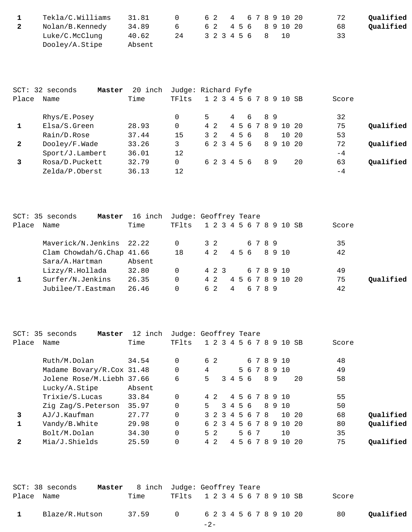| Tekla/C.Williams | 31.81  |    |  |  | 6 2 4 6 7 8 9 10 20 | 72 | Oualified |
|------------------|--------|----|--|--|---------------------|----|-----------|
| Nolan/B.Kennedy  | 34.89  | 6  |  |  | 6 2 4 5 6 8 9 10 20 | 68 | Qualified |
| Luke/C.McClunq   | 40.62  | 24 |  |  | 3 2 3 4 5 6 8 10    | 33 |           |
| Dooley/A.Stipe   | Absent |    |  |  |                     |    |           |

|              | $SCT: 32$ seconds<br>Master | 20<br>inch |       | Judge: Richard Fyfe     |                |   |    |                   |       |           |
|--------------|-----------------------------|------------|-------|-------------------------|----------------|---|----|-------------------|-------|-----------|
| Place        | Name                        | Time       | TFlts | 1 2 3 4 5 6 7 8 9 10 SB |                |   |    |                   | Score |           |
|              | Rhys/E.Posey                |            | 0     | 5.                      | $\overline{4}$ | 6 | 89 |                   | 32    |           |
|              | Elsa/S.Green                | 28.93      | 0     | 4 2                     |                |   |    | 4 5 6 7 8 9 10 20 | 75    | Oualified |
|              | Rain/D.Rose                 | 37.44      | 15    | $3 \t2$                 | 456            |   | 8  | 10 20             | 53    |           |
| $\mathbf{2}$ | Dooley/F.Wade               | 33.26      | 3     | 6 2 3 4 5 6             |                |   |    | 8 9 10 20         | 72    | Oualified |
|              | Sport/J.Lambert             | 36.01      | 12    |                         |                |   |    |                   | $-4$  |           |
| 3            | Rosa/D.Puckett              | 32.79      | 0     | 6 2 3 4 5 6             |                |   | 89 | 20                | 63    | Oualified |
|              | Zelda/P.Oberst              | 36.13      | 12    |                         |                |   |    |                   | $-4$  |           |

|       | SCT: 35 seconds<br>Master | 16 inch | Judge: Geoffrey Teare |       |                |  |      |  |                         |       |           |
|-------|---------------------------|---------|-----------------------|-------|----------------|--|------|--|-------------------------|-------|-----------|
| Place | Name                      | Time    | TFlts                 |       |                |  |      |  | 1 2 3 4 5 6 7 8 9 10 SB | Score |           |
|       | Maverick/N.Jenkins 22.22  |         |                       | 3 2   |                |  | 6789 |  |                         | 35    |           |
|       | Clam Chowdah/G.Chap 41.66 |         | 18                    | 4 2   |                |  |      |  | 4568910                 | 42    |           |
|       | Sara/A.Hartman            | Absent  |                       |       |                |  |      |  |                         |       |           |
|       | Lizzy/R.Hollada           | 32.80   | $\Omega$              | 4 2 3 |                |  |      |  | 678910                  | 49    |           |
|       | Surfer/N.Jenkins          | 26.35   | $\Omega$              | 4 2   |                |  |      |  | 4 5 6 7 8 9 10 20       | 75    | Oualified |
|       | Jubilee/T.Eastman         | 26.46   |                       | 62    | $\overline{4}$ |  | 6789 |  |                         | 42    |           |

| $SCT$ :      | 35 seconds<br>Master      | 12 inch | Judge: Geoffrey Teare |    |                |                    |         |     |    |                 |    |    |                 |      |       |           |
|--------------|---------------------------|---------|-----------------------|----|----------------|--------------------|---------|-----|----|-----------------|----|----|-----------------|------|-------|-----------|
| Place        | Name                      | Time    | TFlts                 |    |                | $1\;\;2\;\;3\;\;4$ |         |     |    |                 |    |    | 5 6 7 8 9 10 SB |      | Score |           |
|              | Ruth/M.Dolan              | 34.54   | 0                     |    | 6 2            |                    |         |     |    |                 |    |    | 6 7 8 9 10      |      | 48    |           |
|              | Madame Bovary/R.Cox 31.48 |         | 0                     | 4  |                |                    |         |     |    |                 |    |    | 5 6 7 8 9 10    |      | 49    |           |
|              | Jolene Rose/M.Liebh 37.66 |         | 6                     | 5  |                |                    | 3 4 5 6 |     |    |                 |    | 89 |                 | 20   | 58    |           |
|              | Lucky/A.Stipe             | Absent  |                       |    |                |                    |         |     |    |                 |    |    |                 |      |       |           |
|              | Trixie/S.Lucas            | 33.84   | $\Omega$              |    | 4 2            |                    |         |     |    |                 |    |    | 4 5 6 7 8 9 10  |      | 55    |           |
|              | Zig Zag/S.Peterson        | 35.97   | $\Omega$              | 5. |                |                    | 3 4 5 6 |     |    |                 |    |    | 8910            |      | 50    |           |
| 3            | AJ/J.Kaufman              | 27.77   | $\Omega$              |    |                | 3 2 3              | 456     |     |    | 78              |    |    | 1 Q             | 20   | 68    | Oualified |
|              | Vandy/B.White             | 29.98   | $\Omega$              |    |                | 6 2 3              |         |     |    | 4 5 6 7 8       |    | -9 | 10 20           |      | 80    | Oualified |
|              | Bolt/M.Dolan              | 34.30   | $\Omega$              |    | 5 <sub>2</sub> |                    |         |     | 56 | -7              |    |    | 10              |      | 35    |           |
| $\mathbf{2}$ | Mia/J.Shields             | 25.59   |                       |    | $4\quad2$      |                    | 4       | . 5 | 6  | $7\overline{ }$ | -8 | 9  | 1 Q             | - 20 | 75    | Oualified |

|              | SCT: 38 seconds |       | Master 8 inch Judge: Geoffrey Teare |                 |
|--------------|-----------------|-------|-------------------------------------|-----------------|
| Place Name   |                 | Time  | TF1ts 1 2 3 4 5 6 7 8 9 10 SB       | Score           |
| $\mathbf{1}$ | Blaze/R.Hutson  | 37.59 | 0 6 2 3 4 5 6 7 8 9 10 20           | Oualified<br>80 |
|              |                 |       | $-2-$                               |                 |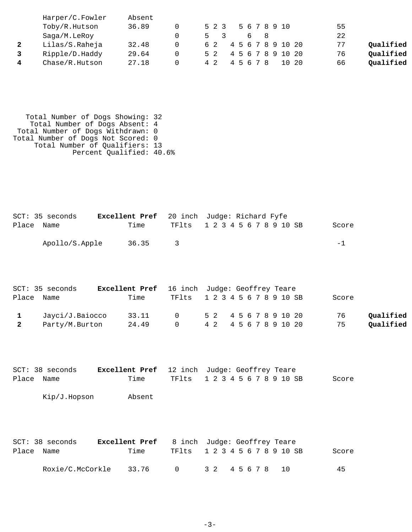| Harper/C.Fowler | Absent |       |                              |             |           |
|-----------------|--------|-------|------------------------------|-------------|-----------|
| Toby/R.Hutson   | 36.89  | 5 2 3 | 5 6 7 8 9 10                 | 55          |           |
| Saga/M.LeRoy    |        |       | $\mathsf{R}$<br><sub>b</sub> | 22          |           |
| Lilas/S.Raheja  | 32.48  | 62    | 4 5 6 7 8 9 10 20            | 77          | Qualified |
| Ripple/D.Haddy  | 29.64  | 5 2   | 4 5 6 7 8 9 10 20            | 76          | Oualified |
| Chase/R.Hutson  | 27.18  | 42    | 4567<br>- R                  | 66<br>10 20 | Oualified |

 Total Number of Dogs Showing: 32 Total Number of Dogs Absent: 4 Total Number of Dogs Withdrawn: 0 Total Number of Dogs Not Scored: 0 Total Number of Qualifiers: 13 Percent Qualified: 40.6%

|            | SCT: 35 seconds | <b>Excellent Pref</b> 20 inch Judge: Richard Fyfe |                               |  |  |  |  |  |       |  |
|------------|-----------------|---------------------------------------------------|-------------------------------|--|--|--|--|--|-------|--|
| Place Name |                 | Time                                              | TF1ts 1 2 3 4 5 6 7 8 9 10 SB |  |  |  |  |  | Score |  |
|            | Apollo/S.Apple  | 36.35                                             |                               |  |  |  |  |  | $-1$  |  |

|                         | SCT: 35 seconds | <b>Excellent Pref</b> 16 inch Judge: Geoffrey Teare |                               |  |  |  |  |       |           |
|-------------------------|-----------------|-----------------------------------------------------|-------------------------------|--|--|--|--|-------|-----------|
| Place Name              |                 | Time                                                | TF1ts 1 2 3 4 5 6 7 8 9 10 SB |  |  |  |  | Score |           |
|                         | Jayci/J.Baiocco | 33.11                                               | 0 52 4567891020               |  |  |  |  | 76    | Qualified |
| $\overline{\mathbf{2}}$ | Party/M.Burton  | 24.49                                               | 0 4 2 4 5 6 7 8 9 10 20       |  |  |  |  | 75    | Qualified |

|            | $SCT: 38$ seconds | <b>Excellent Pref</b> 12 inch Judge: Geoffrey Teare |                               |  |  |  |  |  |       |
|------------|-------------------|-----------------------------------------------------|-------------------------------|--|--|--|--|--|-------|
| Place Name |                   | Time                                                | TF1ts 1 2 3 4 5 6 7 8 9 10 SB |  |  |  |  |  | Score |
|            | Kip/J.Hopson      | Absent                                              |                               |  |  |  |  |  |       |

|            | SCT: 38 seconds  | <b>Excellent Pref</b> 8 inch Judge: Geoffrey Teare |                               |  |  |  |       |
|------------|------------------|----------------------------------------------------|-------------------------------|--|--|--|-------|
| Place Name |                  | Time                                               | TF1ts 1 2 3 4 5 6 7 8 9 10 SB |  |  |  | Score |
|            | Roxie/C.McCorkle | 33.76                                              | 0 32 45 6 7 8 10              |  |  |  | 45    |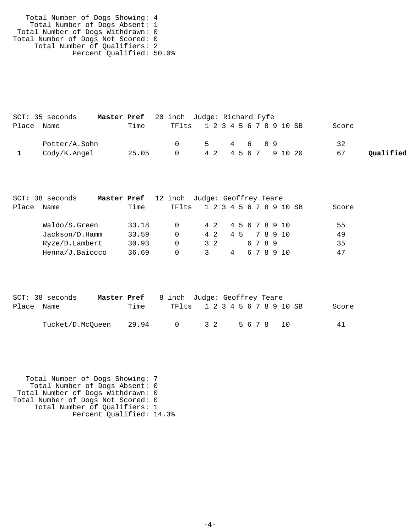| Total Number of Dogs Showing: 4    |  |
|------------------------------------|--|
| Total Number of Dogs Absent: 1     |  |
| Total Number of Dogs Withdrawn: 0  |  |
| Total Number of Dogs Not Scored: 0 |  |
| Total Number of Qualifiers: 2      |  |
| Percent Qualified: 50.0%           |  |

| SCT: 35 seconds | Master Pref 20 inch Judge: Richard Fyfe |        |                               |                 |
|-----------------|-----------------------------------------|--------|-------------------------------|-----------------|
| Place Name      | Time                                    |        | TF1ts 1 2 3 4 5 6 7 8 9 10 SB | Score           |
| Potter/A.Sohn   |                                         |        | 5 4 6 8 9                     | 32              |
| Cody/K.Angel    | 25.05                                   | $\cap$ | 4 2 4 5 6 7 9 10 20           | Qualified<br>67 |

|       | SCT: 38 seconds | Master Pref |       | 12 inch Judge: Geoffrey Teare |     |   |  |      |                         |  |       |
|-------|-----------------|-------------|-------|-------------------------------|-----|---|--|------|-------------------------|--|-------|
| Place | Name            |             | Time  | TF1ts                         |     |   |  |      | 1 2 3 4 5 6 7 8 9 10 SB |  | Score |
|       | Waldo/S.Green   |             | 33.18 | $\Omega$                      |     |   |  |      | 4 2 4 5 6 7 8 9 10      |  | 55    |
|       | Jackson/D.Hamm  |             | 33.59 | $\Omega$                      | 4 2 |   |  |      | 4 5 7 8 9 10            |  | 49    |
|       | Ryze/D.Lambert  |             | 30.93 | $\Omega$                      | 32  |   |  | 6789 |                         |  | 35    |
|       | Henna/J.Baiocco |             | 36.69 | $\Omega$                      |     | 4 |  |      | 678910                  |  | 47    |
|       |                 |             |       |                               |     |   |  |      |                         |  |       |

|            | $SCT: 38$ seconds | <b>Master Pref</b> 8 inch Judge: Geoffrey Teare |                               |  |     |  |  |  |         |  |       |
|------------|-------------------|-------------------------------------------------|-------------------------------|--|-----|--|--|--|---------|--|-------|
| Place Name |                   | Time                                            | TF1ts 1 2 3 4 5 6 7 8 9 10 SB |  |     |  |  |  |         |  | Score |
|            | Tucket/D.McOueen  | 29.94                                           | $\bigcap$                     |  | 3 2 |  |  |  | 5678 10 |  | 41    |

 Total Number of Dogs Showing: 7 Total Number of Dogs Absent: 0 Total Number of Dogs Withdrawn: 0 Total Number of Dogs Not Scored: 0 Total Number of Qualifiers: 1 Percent Qualified: 14.3%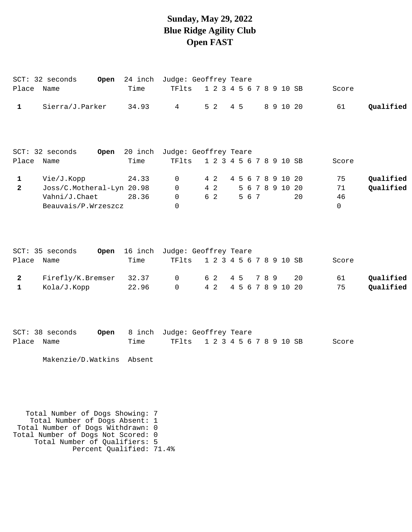# **Sunday, May 29, 2022 Blue Ridge Agility Club Open FAST**

|                               | SCT: 32 seconds                                                                                                                                                               | Open | 24 inch                  | Judge: Geoffrey Teare          |                         |     |     |       |     |                                      |    |                               |                        |
|-------------------------------|-------------------------------------------------------------------------------------------------------------------------------------------------------------------------------|------|--------------------------|--------------------------------|-------------------------|-----|-----|-------|-----|--------------------------------------|----|-------------------------------|------------------------|
| Place Name                    |                                                                                                                                                                               |      | Time                     | TFlts                          | 1 2 3 4 5 6 7 8 9 10 SB |     |     |       |     |                                      |    | Score                         |                        |
| 1                             | Sierra/J.Parker                                                                                                                                                               |      | 34.93                    | $\overline{4}$                 | 5 <sub>2</sub>          |     | 4 5 |       |     | 8 9 10 20                            |    | 61                            | Qualified              |
|                               | SCT: 32 seconds                                                                                                                                                               | Open | 20 inch                  | Judge: Geoffrey Teare          |                         |     |     |       |     |                                      |    |                               |                        |
| Place Name                    |                                                                                                                                                                               |      | Time                     | TFlts                          | 1 2 3 4 5 6 7 8 9 10 SB |     |     |       |     |                                      |    | Score                         |                        |
| $\mathbf 1$<br>$\overline{2}$ | Vie/J.Kopp<br>Joss/C.Motheral-Lyn 20.98<br>Vahni/J.Chaet<br>Beauvais/P.Wrzeszcz                                                                                               |      | 24.33<br>28.36           | 0<br>0<br>$\mathbf 0$<br>0     | 4 2<br>$4\quad2$<br>6 2 |     |     | 5 6 7 |     | 4 5 6 7 8 9 10 20<br>5 6 7 8 9 10 20 | 20 | 75<br>71<br>46<br>$\mathbf 0$ | Qualified<br>Qualified |
| Place                         | SCT: 35 seconds<br>Name                                                                                                                                                       |      | Open 16 inch<br>Time     | Judge: Geoffrey Teare<br>TFlts | 1 2 3 4 5 6 7 8 9 10 SB |     |     |       |     |                                      |    | Score                         |                        |
|                               |                                                                                                                                                                               |      |                          |                                |                         |     |     |       |     |                                      |    |                               |                        |
| $\mathbf{2}$<br>$\mathbf{1}$  | Firefly/K.Bremser<br>Kola/J.Kopp                                                                                                                                              |      | 32.37<br>22.96           | $\mathsf{O}$<br>$\Omega$       | 6 2<br>4 2              | 4 5 |     |       | 789 | 4 5 6 7 8 9 10 20                    | 20 | 61<br>75                      | Qualified<br>Qualified |
| Place                         | SCT: 38 seconds<br>Name                                                                                                                                                       | Open | 8 inch<br>Time           | Judge: Geoffrey Teare<br>TFlts | 1 2 3 4 5 6 7 8 9 10 SB |     |     |       |     |                                      |    | Score                         |                        |
|                               | Makenzie/D.Watkins                                                                                                                                                            |      | Absent                   |                                |                         |     |     |       |     |                                      |    |                               |                        |
|                               | Total Number of Dogs Showing: 7<br>Total Number of Dogs Absent: 1<br>Total Number of Dogs Withdrawn: 0<br>Total Number of Dogs Not Scored: 0<br>Total Number of Qualifiers: 5 |      | Percent Qualified: 71.4% |                                |                         |     |     |       |     |                                      |    |                               |                        |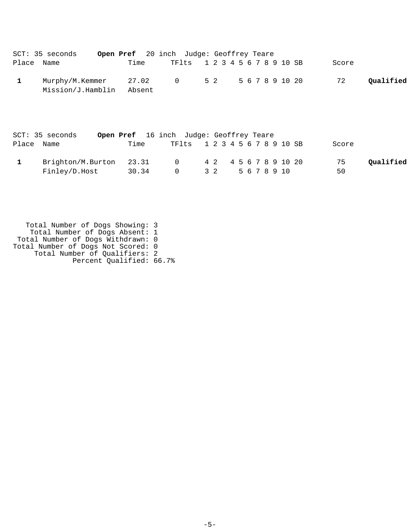|            | SCT: 35 seconds                                 | <b>Open Pref</b> 20 inch Judge: Geoffrey Teare |  |                               |  |  |  |  |  |                 |       |           |
|------------|-------------------------------------------------|------------------------------------------------|--|-------------------------------|--|--|--|--|--|-----------------|-------|-----------|
| Place Name |                                                 | Time                                           |  | TF1ts 1 2 3 4 5 6 7 8 9 10 SB |  |  |  |  |  |                 | Score |           |
|            | Murphy/M.Kemmer 27.02 0 52<br>Mission/J.Hamblin | Absent                                         |  |                               |  |  |  |  |  | 5 6 7 8 9 10 20 | 72    | Oualified |

| $SCT: 35$ seconds       | <b>Open Pref</b> 16 inch Judge: Geoffrey Teare |           |                               |                       |  |  |  |              |       |           |
|-------------------------|------------------------------------------------|-----------|-------------------------------|-----------------------|--|--|--|--------------|-------|-----------|
| Place Name              | Time                                           |           | TF1ts 1 2 3 4 5 6 7 8 9 10 SB |                       |  |  |  |              | Score |           |
| Brighton/M.Burton 23.31 |                                                | $\bigcap$ |                               | 4 2 4 5 6 7 8 9 10 20 |  |  |  |              | 75    | Oualified |
| Finley/D.Host           | 30.34                                          | $\cap$    |                               | 3 2                   |  |  |  | 5 6 7 8 9 10 | 50    |           |

 Total Number of Dogs Showing: 3 Total Number of Dogs Absent: 1 Total Number of Dogs Withdrawn: 0 Total Number of Dogs Not Scored: 0 Total Number of Qualifiers: 2 Percent Qualified: 66.7%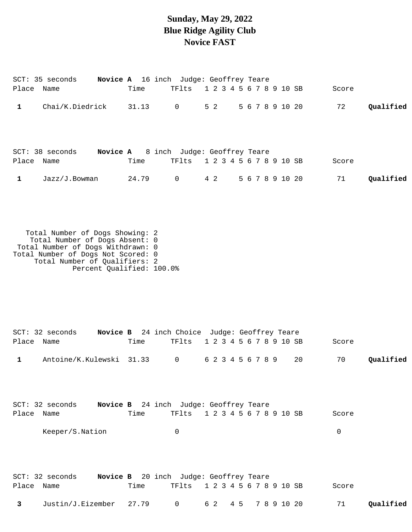#### **Sunday, May 29, 2022 Blue Ridge Agility Club Novice FAST**

|              | SCT: 35 seconds                                                                                                                                                               | Novice A 16 inch Judge: Geoffrey Teare |           |                |     |                         |     |  |  |             |                 |       |           |
|--------------|-------------------------------------------------------------------------------------------------------------------------------------------------------------------------------|----------------------------------------|-----------|----------------|-----|-------------------------|-----|--|--|-------------|-----------------|-------|-----------|
| Place Name   |                                                                                                                                                                               |                                        | Time      | TFlts          |     | 1 2 3 4 5 6 7 8 9 10 SB |     |  |  |             |                 | Score |           |
| 1            | Chai/K.Diedrick                                                                                                                                                               |                                        | $31.13$ 0 |                | 5 2 |                         |     |  |  |             | 5 6 7 8 9 10 20 | 72    | Qualified |
| Place Name   | SCT: 38 seconds    Novice A    8 inch    Judge: Geoffrey Teare                                                                                                                |                                        | Time      | TFlts          |     | 1 2 3 4 5 6 7 8 9 10 SB |     |  |  |             |                 | Score |           |
| $\mathbf{1}$ | Jazz/J.Bowman                                                                                                                                                                 |                                        | 24.79     | $\overline{0}$ | 4 2 |                         |     |  |  |             | 5 6 7 8 9 10 20 | 71    | Qualified |
|              | Total Number of Dogs Showing: 2<br>Total Number of Dogs Absent: 0<br>Total Number of Dogs Withdrawn: 0<br>Total Number of Dogs Not Scored: 0<br>Total Number of Qualifiers: 2 | Percent Qualified: 100.0%              |           |                |     |                         |     |  |  |             |                 |       |           |
| Place Name   | SCT: 32 seconds Novice B 24 inch Choice Judge: Geoffrey Teare                                                                                                                 |                                        | Time      | TFlts          |     | 1 2 3 4 5 6 7 8 9 10 SB |     |  |  |             |                 | Score |           |
| 1            | Antoine/K.Kulewski 31.33                                                                                                                                                      |                                        |           | $\overline{0}$ |     | 6 2 3 4 5 6 7 8 9       |     |  |  |             | 20              | 70    | Qualified |
| Place Name   | SCT: 32 seconds Novice B 24 inch Judge: Geoffrey Teare                                                                                                                        |                                        | Time      | TFlts          |     | 1 2 3 4 5 6 7 8 9 10 SB |     |  |  |             |                 | Score |           |
|              | Keeper/S.Nation                                                                                                                                                               |                                        |           | 0              |     |                         |     |  |  |             |                 | 0     |           |
| Place Name   | SCT: 32 seconds Novice B 20 inch Judge: Geoffrey Teare                                                                                                                        |                                        | Time      | TFlts          |     | 1 2 3 4 5 6 7 8 9 10 SB |     |  |  |             |                 | Score |           |
| 3            | Justin/J.Eizember                                                                                                                                                             |                                        | 27.79     | 0              | 6 2 |                         | 4 5 |  |  | 7 8 9 10 20 |                 | 71    | Qualified |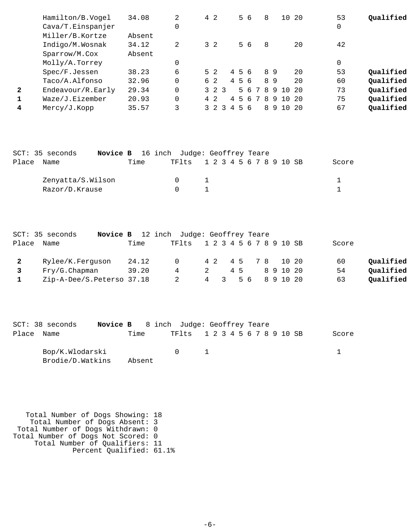|              | Hamilton/B.Vogel  | 34.08  | 2        | 4 2            |             |   |     | 56 |   | 8  |    | 10 20 |      | 53 | Oualified |
|--------------|-------------------|--------|----------|----------------|-------------|---|-----|----|---|----|----|-------|------|----|-----------|
|              | Cava/T.Einspanjer |        | 0        |                |             |   |     |    |   |    |    |       |      | 0  |           |
|              | Miller/B.Kortze   | Absent |          |                |             |   |     |    |   |    |    |       |      |    |           |
|              | Indigo/M.Wosnak   | 34.12  | 2        | $3\quad2$      |             |   |     | 56 |   | 8  |    |       | 20   | 42 |           |
|              | Sparrow/M.Cox     | Absent |          |                |             |   |     |    |   |    |    |       |      |    |           |
|              | Molly/A.Torrey    |        |          |                |             |   |     |    |   |    |    |       |      | 0  |           |
|              | Spec/F.Jessen     | 38.23  | 6        | 5 <sub>2</sub> |             |   | 456 |    |   |    | 89 |       | 20   | 53 | Qualified |
|              | Taco/A.Alfonso    | 32.96  | 0        | 6 2            |             |   | 456 |    |   |    | 89 |       | 20   | 60 | Qualified |
| $\mathbf{2}$ | Endeavour/R.Early | 29.34  | $\Omega$ |                | $3 \t2 \t3$ |   |     | 56 | 7 | -8 | 9  | 10 20 |      | 73 | Oualified |
|              | Waze/J.Eizember   | 20.93  | $\Omega$ | 4 2            |             | 4 | -5  | 6  | 7 | -8 | 9  | 1 Q   | -20  | 75 | Qualified |
| 4            | Mercy/J.Kopp      | 35.57  | 3        |                |             | 4 |     | 56 |   | 8  | -9 | 1 N   | - 20 | 67 | Qualified |

|       | SCT: 35 seconds   | <b>Novice B</b> 16 inch Judge: Geoffrey Teare |      |  |        |                               |  |  |  |  |  |  |       |
|-------|-------------------|-----------------------------------------------|------|--|--------|-------------------------------|--|--|--|--|--|--|-------|
| Place | Name              |                                               | Time |  |        | TF1ts 1 2 3 4 5 6 7 8 9 10 SB |  |  |  |  |  |  | Score |
|       | Zenyatta/S.Wilson |                                               |      |  | $\cap$ |                               |  |  |  |  |  |  |       |
|       | Razor/D.Krause    |                                               |      |  |        |                               |  |  |  |  |  |  |       |

|                | SCT: 35 seconds           |       | <b>Novice B</b> 12 inch Judge: Geoffrey Teare |                |     |    |  |  |                         |                   |                 |  |
|----------------|---------------------------|-------|-----------------------------------------------|----------------|-----|----|--|--|-------------------------|-------------------|-----------------|--|
| Place          | Name                      | Time  | TFlts                                         |                |     |    |  |  | 1 2 3 4 5 6 7 8 9 10 SB |                   | Score           |  |
| $\overline{2}$ | Rylee/K.Ferquson          | 24.12 | $\Omega$ and $\Omega$                         |                |     |    |  |  |                         | 4 2 4 5 7 8 10 20 | Qualified<br>60 |  |
|                | Fry/G.Chapman             | 39.20 | 4                                             | $\overline{2}$ |     | 45 |  |  | 891020                  |                   | Qualified<br>54 |  |
|                | Zip-A-Dee/S.Peterso 37.18 |       |                                               |                | 4 3 |    |  |  | 5 6 8 9 10 20           |                   | Qualified<br>63 |  |

| SCT: 38 seconds  |        | <b>Novice B</b> 8 inch Judge: Geoffrey Teare |               |                               |       |
|------------------|--------|----------------------------------------------|---------------|-------------------------------|-------|
| Place Name       | Time   |                                              |               | TF1ts 1 2 3 4 5 6 7 8 9 10 SB | Score |
| Bop/K.Wlodarski  |        |                                              | and the state |                               |       |
| Brodie/D.Watkins | Absent |                                              |               |                               |       |

 Total Number of Dogs Showing: 18 Total Number of Dogs Absent: 3 Total Number of Dogs Withdrawn: 0 Total Number of Dogs Not Scored: 0 Total Number of Qualifiers: 11 Percent Qualified: 61.1%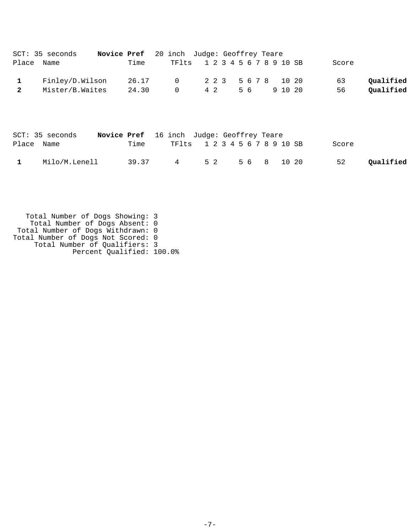|              | SCT: 35 seconds | <b>Novice Pref</b> 20 inch Judge: Geoffrey Teare |       |                               |     |  |    |  |         |  |       |           |
|--------------|-----------------|--------------------------------------------------|-------|-------------------------------|-----|--|----|--|---------|--|-------|-----------|
|              | Place Name      |                                                  | Time  | TF1ts 1 2 3 4 5 6 7 8 9 10 SB |     |  |    |  |         |  | Score |           |
|              | Finley/D.Wilson |                                                  | 26.17 | 0 2 2 3 5 6 7 8 10 20         |     |  |    |  |         |  | 63    | Qualified |
| $\mathbf{2}$ | Mister/B.Waites |                                                  | 24.30 | $\overline{0}$                | 4 2 |  | 56 |  | 9 10 20 |  | 56    | Qualified |

|            | SCT: 35 seconds | <b>Novice Pref</b> 16 inch Judge: Geoffrey Teare |                       |  |                               |       |           |
|------------|-----------------|--------------------------------------------------|-----------------------|--|-------------------------------|-------|-----------|
| Place Name |                 | Time                                             |                       |  | TF1ts 1 2 3 4 5 6 7 8 9 10 SB | Score |           |
|            | Milo/M.Lenell   |                                                  | 39.37 4 52 56 8 10 20 |  |                               | 52    | Qualified |

 Total Number of Dogs Showing: 3 Total Number of Dogs Absent: 0 Total Number of Dogs Withdrawn: 0 Total Number of Dogs Not Scored: 0 Total Number of Qualifiers: 3 Percent Qualified: 100.0%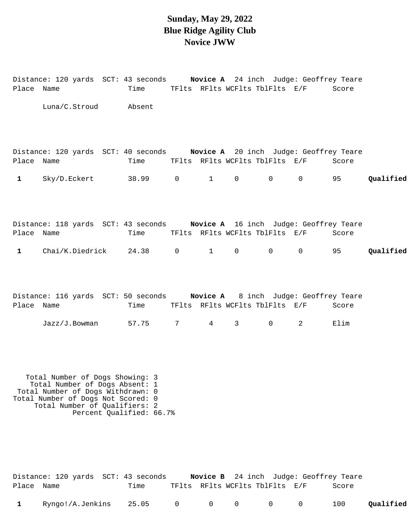## **Sunday, May 29, 2022 Blue Ridge Agility Club Novice JWW**

| Place Name   | Distance: 120 yards SCT: 43 seconds Novice A 24 inch Judge: Geoffrey Teare                                                                                                    | Time    |   |              | TFlts RFlts WCFlts TblFlts E/F |              |              | Score |           |
|--------------|-------------------------------------------------------------------------------------------------------------------------------------------------------------------------------|---------|---|--------------|--------------------------------|--------------|--------------|-------|-----------|
|              | Luna/C.Stroud                                                                                                                                                                 | Absent  |   |              |                                |              |              |       |           |
| Place Name   | Distance: 120 yards SCT: 40 seconds Novice A 20 inch Judge: Geoffrey Teare                                                                                                    | Time    |   |              | TFlts RFlts WCFlts TblFlts E/F |              |              | Score |           |
| $\mathbf{1}$ | Sky/D.Eckert                                                                                                                                                                  | 38.99 0 |   | $\mathbf{1}$ | $\mathsf{O}$                   | 0            | $\mathsf{O}$ | 95    | Qualified |
| Place Name   | Distance: 118 yards SCT: 43 seconds Novice A 16 inch Judge: Geoffrey Teare                                                                                                    | Time    |   |              | TFlts RFlts WCFlts TblFlts E/F |              |              | Score |           |
| $\mathbf{1}$ | Chai/K.Diedrick                                                                                                                                                               | 24.38 0 |   | $\mathbf{1}$ | $\mathsf{O}$                   | 0            | $\mathsf{O}$ | 95 7  | Qualified |
| Place Name   | Distance: 116 yards SCT: 50 seconds Novice A 8 inch Judge: Geoffrey Teare                                                                                                     | Time    |   |              | TFlts RFlts WCFlts TblFlts E/F |              |              | Score |           |
|              | $Jazz/J$ . Bowman                                                                                                                                                             | 57.75   | 7 | $4\degree$   | $\mathsf{3}$                   | $\mathsf{O}$ | 2            | Elim  |           |
|              | Total Number of Dogs Showing: 3<br>Total Number of Dogs Absent: 1<br>Total Number of Dogs Withdrawn: 0<br>Total Number of Dogs Not Scored: 0<br>Total Number of Qualifiers: 2 |         |   |              |                                |              |              |       |           |

|            | Distance: 120 yards SCT: 43 seconds |  |                                | <b>Novice B</b> 24 inch Judge: Geoffrey Teare |
|------------|-------------------------------------|--|--------------------------------|-----------------------------------------------|
| Place Name | Time                                |  | TFlts RFlts WCFlts TblFlts E/F | Score                                         |

Percent Qualified: 66.7%

|  | Ryngo!/A.Jenkins | 25.05 |  |  |  |  |  |  | Qualified |
|--|------------------|-------|--|--|--|--|--|--|-----------|
|--|------------------|-------|--|--|--|--|--|--|-----------|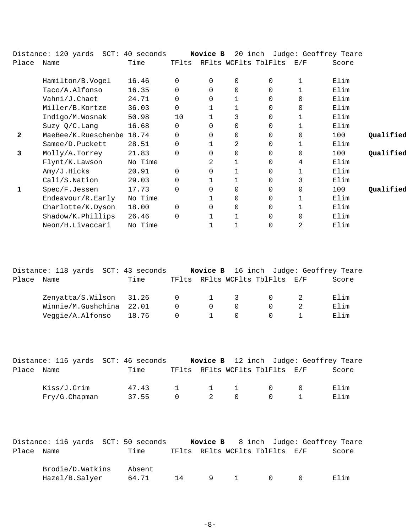|              | Distance: 120 yards SCT: 40 seconds |         |          | Novice B |             | 20 inch Judge: Geoffrey Teare |                   |       |           |
|--------------|-------------------------------------|---------|----------|----------|-------------|-------------------------------|-------------------|-------|-----------|
| Place        | Name                                | Time    | TFlts    |          |             | RFlts WCFlts TblFlts          | $\rm E$ / $\rm F$ | Score |           |
|              | Hamilton/B.Vogel                    | 16.46   | $\Omega$ | $\Omega$ | $\mathbf 0$ | $\Omega$                      |                   | Elim  |           |
|              | Taco/A.Alfonso                      | 16.35   | $\Omega$ | $\Omega$ | $\Omega$    | $\Omega$                      |                   | Elim  |           |
|              | Vahni/J.Chaet                       | 24.71   | 0        | $\Omega$ |             | $\Omega$                      | $\Omega$          | Elim  |           |
|              | Miller/B.Kortze                     | 36.03   | $\Omega$ |          |             |                               | $\Omega$          | Elim  |           |
|              | Indigo/M.Wosnak                     | 50.98   | 10       |          | 3           | $\Omega$                      |                   | Elim  |           |
|              |                                     |         | $\Omega$ | 0        |             | $\Omega$                      |                   |       |           |
|              | Suzy $Q/C$ . Lang                   | 16.68   |          |          | $\mathbf 0$ |                               |                   | Elim  |           |
| $\mathbf{2}$ | MaeBee/K.Rueschenbe 18.74           |         | 0        | 0        | $\mathbf 0$ | $\Omega$                      | $\Omega$          | 100   | Qualified |
|              | Samee/D.Puckett                     | 28.51   | 0        |          | 2           | $\Omega$                      |                   | Elim  |           |
| 3            | Molly/A.Torrey                      | 21.83   | $\Omega$ | $\Omega$ | $\Omega$    | $\Omega$                      | $\Omega$          | 100   | Qualified |
|              | Flynt/K.Lawson                      | No Time |          | 2        | 1           | $\Omega$                      | 4                 | Elim  |           |
|              | Amy/J.Hicks                         | 20.91   | $\Omega$ | 0        |             | $\Omega$                      |                   | Elim  |           |
|              | Cali/S.Nation                       | 29.03   | 0        |          |             | $\Omega$                      | 3                 | Elim  |           |
| 1            | Spec/F.Jessen                       | 17.73   | $\Omega$ | 0        | $\Omega$    | $\Omega$                      | $\Omega$          | 100   | Qualified |
|              | Endeavour/R.Early                   | No Time |          |          | $\mathbf 0$ | $\Omega$                      | 1                 | Elim  |           |
|              | Charlotte/K.Dyson                   | 18.00   | $\Omega$ | 0        | $\mathbf 0$ | $\Omega$                      |                   | Elim  |           |
|              | Shadow/K.Phillips                   | 26.46   | $\Omega$ |          |             | 0                             | $\Omega$          | Elim  |           |
|              | Neon/H.Livaccari                    | No Time |          |          |             | $\Omega$                      | 2                 | Elim  |           |

|       | Distance: 118 yards SCT: 43 seconds |      |                |                        |           |                                | Novice B 16 inch Judge: Geoffrey Teare |
|-------|-------------------------------------|------|----------------|------------------------|-----------|--------------------------------|----------------------------------------|
| Place | Name                                | Time |                |                        |           | TFlts RFlts WCFlts TblFlts E/F | Score                                  |
|       |                                     |      |                |                        |           |                                |                                        |
|       | Zenyatta/S.Wilson 31.26 0 1 3       |      |                |                        |           | $\Omega$                       | Elim                                   |
|       | Winnie/M.Gushchina 22.01            |      | $\Omega$       | $\Omega$               | $\bigcap$ |                                | Elim                                   |
|       | Veggie/A.Alfonso 18.76              |      | $\overline{0}$ | $\sim$ 1 $\sim$ $\sim$ | $\cap$    | $\cap$                         | Elim                                   |
|       |                                     |      |                |                        |           |                                |                                        |

|            | Distance: 116 yards SCT: 46 seconds |       |        |                     |                                | Novice B 12 inch Judge: Geoffrey Teare |
|------------|-------------------------------------|-------|--------|---------------------|--------------------------------|----------------------------------------|
| Place Name |                                     | Time  |        |                     | TFlts RFlts WCFlts TblFlts E/F | Score                                  |
|            | Kiss/J.Grim                         | 47.43 |        | $1 \quad 1 \quad 1$ | $\bigcap$                      | Elim                                   |
|            | $Fry/G.C$ hapman                    | 37.55 | $\cap$ | 2 0                 |                                | Elim                                   |

|            | Distance: 116 yards SCT: 50 seconds |        |    |     |                                | <b>Novice B</b> 8 inch Judge: Geoffrey Teare |
|------------|-------------------------------------|--------|----|-----|--------------------------------|----------------------------------------------|
| Place Name |                                     | Time   |    |     | TFlts RFlts WCFlts TblFlts E/F | Score                                        |
|            | Brodie/D.Watkins                    | Absent |    |     |                                |                                              |
|            | Hazel/B.Salyer                      | 64.71  | 14 | 9 1 | $\bigcap$                      | Elim                                         |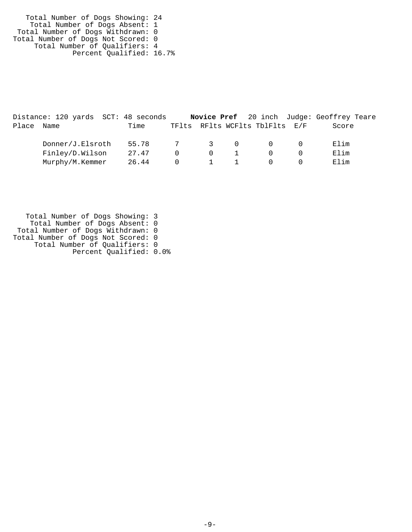Total Number of Dogs Showing: 24 Total Number of Dogs Absent: 1 Total Number of Dogs Withdrawn: 0 Total Number of Dogs Not Scored: 0 Total Number of Qualifiers: 4 Percent Qualified: 16.7%

|       | Distance: 120 yards SCT: 48 seconds |       |           |        |                                | <b>Novice Pref</b> 20 inch Judge: Geoffrey Teare |
|-------|-------------------------------------|-------|-----------|--------|--------------------------------|--------------------------------------------------|
| Place | Name                                | Time  |           |        | TFlts RFlts WCFlts TblFlts E/F | Score                                            |
|       | Donner/J.Elsroth                    | 55.78 | 7 3 0     |        | $\bigcap$                      | Elim                                             |
|       | Finley/D.Wilson                     | 27.47 | $\cap$    | $\cap$ | $\cap$                         | Elim                                             |
|       | Murphy/M.Kemmer                     | 26.44 | $\bigcap$ |        | $\Omega$                       | Elim                                             |

 Total Number of Dogs Showing: 3 Total Number of Dogs Absent: 0 Total Number of Dogs Withdrawn: 0 Total Number of Dogs Not Scored: 0 Total Number of Qualifiers: 0 Percent Qualified: 0.0%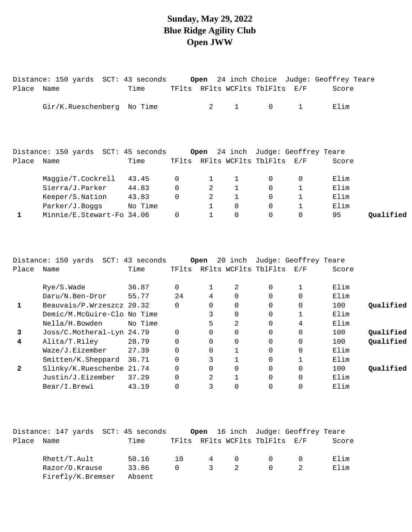#### **Sunday, May 29, 2022 Blue Ridge Agility Club Open JWW**

| Place      | Distance: 150 yards SCT: 43 seconds<br>Name | Time  |             |                |                | TFlts RFlts WCFlts TblFlts E/F            |              | Open 24 inch Choice Judge: Geoffrey Teare<br>Score |           |
|------------|---------------------------------------------|-------|-------------|----------------|----------------|-------------------------------------------|--------------|----------------------------------------------------|-----------|
|            |                                             |       |             |                |                |                                           |              |                                                    |           |
|            | Gir/K.Rueschenberg No Time                  |       |             | 2              | $\mathbf{1}$   | $\Omega$                                  | $\mathbf{1}$ | Elim                                               |           |
|            |                                             |       |             |                |                |                                           |              |                                                    |           |
|            |                                             |       |             |                |                |                                           |              |                                                    |           |
|            | Distance: 150 yards SCT: 45 seconds         |       |             |                |                | <b>Open</b> 24 inch Judge: Geoffrey Teare |              |                                                    |           |
| Place Name |                                             | Time  |             |                |                | TFlts RFlts WCFlts TblFlts E/F            |              | Score                                              |           |
|            | Maggie/T.Cockrell                           | 43.45 | $\mathbf 0$ |                | $\mathbf{1}$   | $\Omega$                                  | $\Omega$     | Elim                                               |           |
|            | Sierra/J.Parker                             | 44.83 | $\Omega$    | 2              | $\mathbf{1}$   | $\Omega$                                  |              | Elim                                               |           |
|            | Keeper/S.Nation 43.83                       |       | $\mathbf 0$ | $\overline{a}$ | $\mathbf 1$    | $\Omega$                                  |              | Elim                                               |           |
|            | Parker/J.Boggs No Time                      |       |             | $\mathbf{1}$   | $\mathbf 0$    | $\Omega$                                  | $\mathbf 1$  | Elim                                               |           |
|            | Minnie/E.Stewart-Fo 34.06                   |       | $\Omega$    |                | $\overline{0}$ | $\Omega$                                  | $\mathbf 0$  | 95                                                 | Qualified |
|            |                                             |       |             |                |                |                                           |              |                                                    |           |

|       | Distance: 150 yards SCT: 43 seconds |         |          | Open     | 20 inch              |          | Judge: Geoffrey Teare |       |           |
|-------|-------------------------------------|---------|----------|----------|----------------------|----------|-----------------------|-------|-----------|
| Place | Name                                | Time    | TFlts    |          | RFlts WCFlts TblFlts |          | E/F                   | Score |           |
|       | Rye/S.Wade                          | 36.87   | 0        |          | 2                    | $\Omega$ |                       | Elim  |           |
|       | Daru/N.Ben-Dror                     | 55.77   | 24       | 4        | 0                    | $\Omega$ | $\Omega$              | Elim  |           |
|       | Beauvais/P.Wrzeszcz 20.32           |         | 0        | $\Omega$ | 0                    | 0        | 0                     | 100   | Qualified |
|       | Demic/M.McGuire-Clo No Time         |         |          | 3        | 0                    | 0        |                       | Elim  |           |
|       | Nella/H.Bowden                      | No Time |          | 5        | 2                    | 0        | 4                     | Elim  |           |
| 3     | Joss/C.Motheral-Lyn 24.79           |         | $\Omega$ | $\Omega$ | 0                    | $\Omega$ | $\Omega$              | 100   | Qualified |
| 4     | Alita/T.Riley                       | 28.79   | $\Omega$ | $\Omega$ | 0                    | 0        | $\overline{0}$        | 100   | Qualified |
|       | Waze/J.Eizember                     | 27.39   |          | $\Omega$ | 1                    | $\Omega$ | $\Omega$              | Elim  |           |
|       | Smitten/K.Sheppard                  | 36.71   |          | 3        |                      | $\Omega$ |                       | Elim  |           |
| 2     | Slinky/K.Rueschenbe 21.74           |         |          | $\Omega$ | 0                    | $\Omega$ | $\Omega$              | 100   | Oualified |
|       | Justin/J.Eizember                   | 37.29   |          | 2        |                      | 0        | $\Omega$              | Elim  |           |
|       | Bear/I.Brewi                        | 43.19   |          | 3        | 0                    |          | 0                     | Elim  |           |

|       | Distance: 147 yards  SCT: 45 seconds |        |        |               |               |                                | <b>Open</b> 16 inch Judge: Geoffrey Teare |       |
|-------|--------------------------------------|--------|--------|---------------|---------------|--------------------------------|-------------------------------------------|-------|
| Place | Name                                 | Time   |        |               |               | TFlts RFlts WCFlts TblFlts E/F |                                           | Score |
|       | $Rhett/T$ . Ault                     | 50.16  | 1 N    | $4\degree$    | $\Omega$      |                                |                                           | Elim  |
|       | Razor/D.Krause                       | 33.86  | $\cap$ | $\mathcal{E}$ | $\mathcal{L}$ |                                |                                           | Elim  |
|       | Firefly/K.Bremser                    | Absent |        |               |               |                                |                                           |       |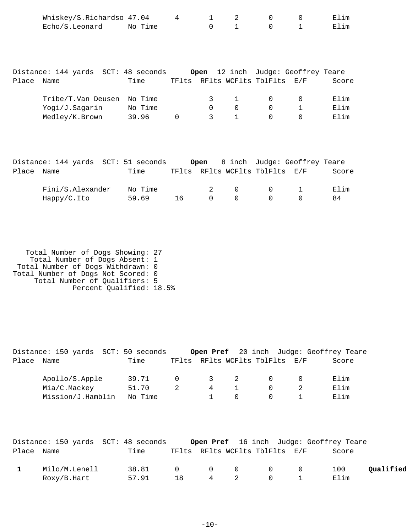| Whiskey/S.Richardso 47.04 |         |  |  | Elim |
|---------------------------|---------|--|--|------|
| Echo/S.Leonard            | No Time |  |  | Elim |

|       | Distance: 144 yards  SCT: 48 seconds |         |  |          |                                | Open 12 inch Judge: Geoffrey Teare |       |
|-------|--------------------------------------|---------|--|----------|--------------------------------|------------------------------------|-------|
| Place | Name                                 | Time    |  |          | TFlts RFlts WCFlts TblFlts E/F |                                    | Score |
|       |                                      |         |  |          |                                |                                    |       |
|       | Tribe/T.Van Deusen No Time           |         |  | $\sim$ 1 | $\cap$                         |                                    | Elim  |
|       | Yogi/J.Sagarin                       | No Time |  |          | $\Omega$                       |                                    | Elim  |
|       | Medley/K.Brown                       | 39.96   |  |          |                                |                                    | Elim  |

|            | Distance: 144 yards SCT: 51 seconds |         |    |          |                          |                                        | Open 8 inch Judge: Geoffrey Teare |       |
|------------|-------------------------------------|---------|----|----------|--------------------------|----------------------------------------|-----------------------------------|-------|
| Place Name |                                     | Time    |    |          |                          | TFlts RFlts WCFlts TblFlts E/F         |                                   | Score |
|            | Fini/S.Alexander                    | No Time |    |          | $2 \qquad \qquad \Omega$ | $\begin{array}{ccc} 0 & 1 \end{array}$ |                                   | 田lim  |
|            | Happy/C.Ito                         | 59.69   | 16 | $\Omega$ | $\Omega$                 |                                        |                                   | 84    |

 Total Number of Dogs Showing: 27 Total Number of Dogs Absent: 1 Total Number of Dogs Withdrawn: 0 Total Number of Dogs Not Scored: 0 Total Number of Qualifiers: 5 Percent Qualified: 18.5%

|       | Distance: 150 yards SCT: 50 seconds |  |         |          |                         |                                |  | Open Pref 20 inch Judge: Geoffrey Teare |
|-------|-------------------------------------|--|---------|----------|-------------------------|--------------------------------|--|-----------------------------------------|
| Place | Name                                |  | Time    |          |                         | TFlts RFlts WCFlts TblFlts E/F |  | Score                                   |
|       | Apollo/S.Apple                      |  | 39.71   | $\Omega$ | $\overline{\mathbf{3}}$ | $\overline{2}$                 |  | Elim                                    |
|       | Mia/C.Mackey                        |  | 51.70   |          | 4                       |                                |  | Elim                                    |
|       | Mission/J.Hamblin                   |  | No Time |          |                         | $^{\circ}$                     |  | Elim                                    |

|            | Distance: 150 yards SCT: 48 seconds |                 |    |  |                                | <b>Open Pref</b> 16 inch Judge: Geoffrey Teare |           |
|------------|-------------------------------------|-----------------|----|--|--------------------------------|------------------------------------------------|-----------|
| Place Name |                                     | Time            |    |  | TFlts RFlts WCFlts TblFlts E/F | Score                                          |           |
|            | Milo/M.Lenell                       | 38.81 0 0 0 0 0 |    |  |                                | 100                                            | Qualified |
|            | Roxy/B.Hart                         | 57.91           | 18 |  | 4 2 0 1                        | Elim                                           |           |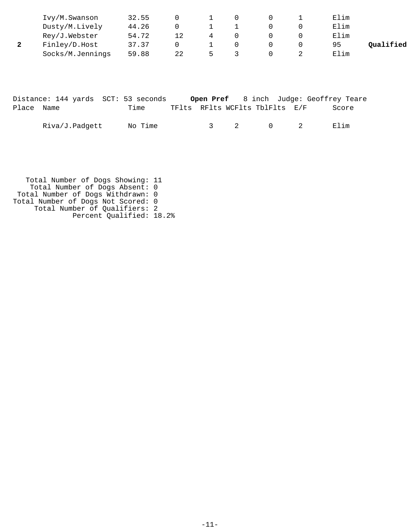| Ivy/M.Swanson    | 32.55 |    |   |  | Elim |           |
|------------------|-------|----|---|--|------|-----------|
| Dusty/M.Lively   | 44.26 |    |   |  | Elim |           |
| Rey/J.Webster    | 54.72 | 12 |   |  | Elim |           |
| Finley/D.Host    | 37.37 |    |   |  | 95   | Qualified |
| Socks/M.Jennings | 59.88 | 22 | 5 |  | Elim |           |

|            |                |  | Distance: 144 yards SCT: 53 seconds |                                |         |  | <b>Open Pref</b> 8 inch Judge: Geoffrey Teare |       |
|------------|----------------|--|-------------------------------------|--------------------------------|---------|--|-----------------------------------------------|-------|
| Place Name |                |  | Time                                | TFlts RFlts WCFlts TblFlts E/F |         |  |                                               | Score |
|            | Riva/J.Padqett |  | No Time                             |                                | 3 2 0 2 |  | Flim                                          |       |

 Total Number of Dogs Showing: 11 Total Number of Dogs Absent: 0 Total Number of Dogs Withdrawn: 0 Total Number of Dogs Not Scored: 0 Total Number of Qualifiers: 2 Percent Qualified: 18.2%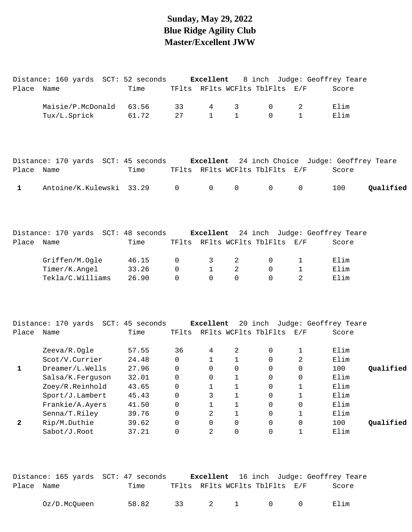# **Sunday, May 29, 2022 Blue Ridge Agility Club Master/Excellent JWW**

|            | Distance: 160 yards SCT: 52 seconds Excellent 8 inch Judge: Geoffrey Teare         |       |                |                |                     |                                |              |       |           |
|------------|------------------------------------------------------------------------------------|-------|----------------|----------------|---------------------|--------------------------------|--------------|-------|-----------|
| Place Name |                                                                                    | Time  |                |                |                     | TFlts RFlts WCFlts TblFlts E/F |              | Score |           |
|            | Maisie/P.McDonald                                                                  | 63.56 | 33             | 4              | 3                   | 0                              | 2            | Elim  |           |
|            | Tux/L.Sprick                                                                       | 61.72 | 27             | $\mathbf{1}$   | $\mathbf{1}$        | $\mathbf 0$                    | $\mathbf{1}$ | Elim  |           |
|            | Distance: 170 yards SCT: 45 seconds Excellent 24 inch Choice Judge: Geoffrey Teare |       |                |                |                     |                                |              |       |           |
| Place Name |                                                                                    | Time  |                |                |                     | TFlts RFlts WCFlts TblFlts E/F |              | Score |           |
| 1          | Antoine/K.Kulewski 33.29                                                           |       | $\mathbf 0$    | $\overline{0}$ | $\mathsf{O}\xspace$ | $\overline{0}$                 | $\mathsf 0$  | 100   | Qualified |
| Place Name | Distance: 170 yards SCT: 48 seconds Excellent 24 inch Judge: Geoffrey Teare        | Time  |                |                |                     | TFlts RFlts WCFlts TblFlts E/F |              | Score |           |
|            |                                                                                    |       |                |                |                     |                                |              |       |           |
|            | Griffen/M.Ogle                                                                     | 46.15 | 0              | 3              | 2                   | 0                              | $\mathbf 1$  | Elim  |           |
|            | Timer/K.Angel                                                                      | 33.26 | $\mathbf 0$    | $\mathbf{1}$   | $\overline{2}$      | $\mathsf{O}$                   | $\mathbf 1$  | Elim  |           |
|            | Tekla/C.Williams                                                                   | 26.90 | $\Omega$       | $\Omega$       | $\Omega$            | $\Omega$                       | 2            | Elim  |           |
| Place Name | Distance: 170 yards SCT: 45 seconds Excellent 20 inch Judge: Geoffrey Teare        |       |                |                |                     | TFlts RFlts WCFlts TblFlts E/F |              |       |           |
|            |                                                                                    | Time  |                |                |                     |                                |              | Score |           |
|            | Zeeva/R.Ogle                                                                       | 57.55 | 36             | 4              | 2                   | 0                              | $\mathbf 1$  | Elim  |           |
|            | Scot/V.Currier                                                                     | 24.48 | $\Omega$       | $\mathbf{1}$   | $\mathbf{1}$        | $\overline{0}$                 | 2            | Elim  |           |
| 1          | Dreamer/L.Wells                                                                    | 27.96 | $\mathbf 0$    | $\mathsf{O}$   | $\mathbf 0$         | $\mathbf 0$                    | 0            | 100   | Qualified |
|            | Salsa/K.Ferguson                                                                   | 32.01 | $\overline{0}$ | $\overline{0}$ | 1                   | $\overline{0}$                 | $\mathsf{O}$ | Elim  |           |
|            | Zoey/R.Reinhold                                                                    | 43.65 | 0              | $1\,$          | $\mathbf 1$         | 0                              | 1            | Elim  |           |
|            | Sport/J.Lambert                                                                    | 45.43 | 0              | 3              | $\mathbf 1$         | $\mathsf{O}$                   | $\mathbf 1$  | Elim  |           |
|            | Frankie/A.Ayers                                                                    | 41.50 | 0              | 1              | $\mathbf 1$         | $\mathbf 0$                    | 0            | Elim  |           |
|            | Senna/T.Riley                                                                      | 39.76 | 0              | 2              | $\mathbf 1$         | 0                              | 1            | Elim  |           |
| 2          | Rip/M.Duthie                                                                       | 39.62 | 0              | 0              | 0                   | $\mathsf{O}$                   | $\mathbf 0$  | 100   | Qualified |
|            | Sabot/J.Root                                                                       | 37.21 | 0              | 2              | $\mathbf 0$         | $\Omega$                       | $\mathbf 1$  | Elim  |           |
|            |                                                                                    |       |                |                |                     |                                |              |       |           |

|            |              | Distance: 165 yards SCT: 47 seconds |                                |  | <b>Excellent</b> 16 inch Judge: Geoffrey Teare |
|------------|--------------|-------------------------------------|--------------------------------|--|------------------------------------------------|
| Place Name |              | Time                                | TFlts RFlts WCFlts TblFlts E/F |  | Score                                          |
|            | Oz/D.McOueen | 58.82                               | 33 2 1 0 0                     |  | Elim                                           |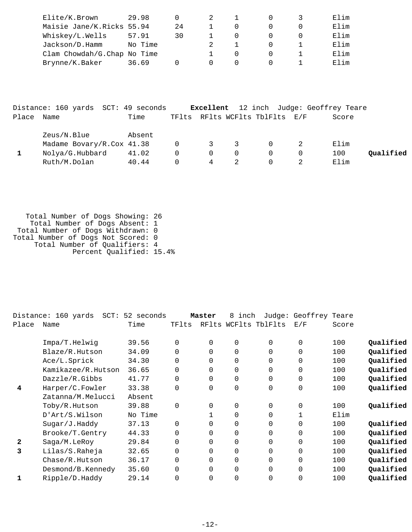| Elite/K.Brown               | 29.98   |    |  |  | Elim |
|-----------------------------|---------|----|--|--|------|
| Maisie Jane/K.Ricks 55.94   |         | 24 |  |  | Elim |
| Whiskey/L.Wells             | 57.91   | 30 |  |  | Elim |
| Jackson/D.Hamm              | No Time |    |  |  | Elim |
| Clam Chowdah/G.Chap No Time |         |    |  |  | Elim |
| Brynne/K.Baker              | 36.69   |    |  |  | Elim |

|            | Distance: 160 yards SCT: 49 seconds |        |          |                     |                         |                                | <b>Excellent</b> 12 inch Judge: Geoffrey Teare |           |
|------------|-------------------------------------|--------|----------|---------------------|-------------------------|--------------------------------|------------------------------------------------|-----------|
| Place Name |                                     | Time   |          |                     |                         | TFlts RFlts WCFlts TblFlts E/F | Score                                          |           |
|            | Zeus/N.Blue                         | Absent |          |                     |                         |                                |                                                |           |
|            | Madame Bovary/R.Cox 41.38           |        |          | $0 \qquad \qquad 3$ | $\overline{\mathbf{3}}$ | $\Omega$                       | Elim                                           |           |
|            | Nolya/G.Hubbard                     | 41.02  | $\Omega$ | $\cap$              | 0                       | $\Omega$                       | 100                                            | Qualified |
|            | Ruth/M.Dolan                        | 40.44  |          | 4                   |                         |                                | Elim                                           |           |

 Total Number of Dogs Showing: 26 Total Number of Dogs Absent: 1 Total Number of Dogs Withdrawn: 0 Total Number of Dogs Not Scored: 0 Total Number of Qualifiers: 4 Percent Qualified: 15.4%

|       | Distance: 160 yards<br>$SCT$ : | 52 seconds |          | Master   | 8<br>inch            | $J$ udge: | Geoffrey Teare |       |           |
|-------|--------------------------------|------------|----------|----------|----------------------|-----------|----------------|-------|-----------|
| Place | Name                           | Time       | TFlts    |          | RFlts WCFlts TblFlts |           | E/F            | Score |           |
|       | Impa/T.Helwig                  | 39.56      | $\Omega$ | $\Omega$ | 0                    | $\Omega$  | 0              | 100   | Qualified |
|       | Blaze/R.Hutson                 | 34.09      | $\Omega$ | $\Omega$ | $\Omega$             | $\Omega$  | 0              | 100   | Qualified |
|       | Ace/L.Sprick                   | 34.30      | $\Omega$ | $\Omega$ | $\Omega$             | $\Omega$  | 0              | 100   | Qualified |
|       | Kamikazee/R.Hutson             | 36.65      | $\Omega$ | $\Omega$ | $\Omega$             | $\Omega$  | 0              | 100   | Qualified |
|       | Dazzle/R.Gibbs                 | 41.77      | $\Omega$ | $\Omega$ | $\Omega$             | $\Omega$  | 0              | 100   | Qualified |
| 4     | Harper/C.Fowler                | 33.38      | $\Omega$ | $\Omega$ | 0                    | $\Omega$  | 0              | 100   | Qualified |
|       | Zatanna/M.Melucci              | Absent     |          |          |                      |           |                |       |           |
|       | Toby/R.Hutson                  | 39.88      | $\Omega$ | $\Omega$ | 0                    | $\Omega$  | 0              | 100   | Qualified |
|       | D'Art/S.Wilson                 | No Time    |          |          | 0                    | $\Omega$  | $\mathbf{1}$   | Elim  |           |
|       | Sugar/J.Haddy                  | 37.13      | $\Omega$ | 0        | 0                    | $\Omega$  | 0              | 100   | Qualified |
|       | Brooke/T.Gentry                | 44.33      | $\Omega$ | $\Omega$ | 0                    | $\Omega$  | 0              | 100   | Qualified |
| 2     | Saga/M.LeRoy                   | 29.84      | 0        | $\Omega$ | 0                    | $\Omega$  | 0              | 100   | Qualified |
| 3     | Lilas/S.Raheja                 | 32.65      | 0        | $\Omega$ | 0                    | $\Omega$  | 0              | 100   | Qualified |
|       | Chase/R.Hutson                 | 36.17      | $\Omega$ | $\Omega$ | 0                    | $\Omega$  | 0              | 100   | Qualified |
|       | Desmond/B.Kennedy              | 35.60      | 0        | 0        | 0                    | $\Omega$  | 0              | 100   | Qualified |
| 1     | Ripple/D.Haddy                 | 29.14      | $\Omega$ | $\Omega$ | 0                    | 0         | 0              | 100   | Qualified |
|       |                                |            |          |          |                      |           |                |       |           |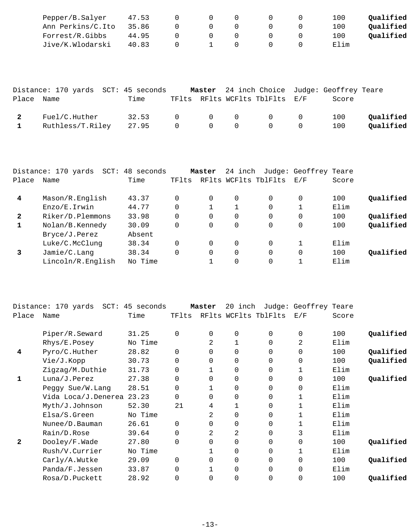| Pepper/B.Salyer   | 47.53 |          |  | 100  | Oualified |
|-------------------|-------|----------|--|------|-----------|
| Ann Perkins/C.Ito | 35.86 | $\cap$   |  | 100  | Oualified |
| Forrest/R.Gibbs   | 44.95 | $\Omega$ |  | 100  | Oualified |
| Jive/K.Wlodarski  | 40.83 |          |  | Elim |           |

|            | Distance: 170 yards SCT: 45 seconds |                |                |                                                    |                                                      |                                                                        | Master 24 inch Choice Judge: Geoffrey Teare |                        |
|------------|-------------------------------------|----------------|----------------|----------------------------------------------------|------------------------------------------------------|------------------------------------------------------------------------|---------------------------------------------|------------------------|
| Place Name |                                     | Time           |                |                                                    |                                                      | TFlts RFlts WCFlts TblFlts E/F                                         | Score                                       |                        |
|            | Fuel/C.Huther<br>Ruthless/T.Riley   | 32.53<br>27.95 | $\overline{0}$ | $\begin{array}{ccc} & & 0 & \quad & 0 \end{array}$ | $\begin{array}{ccccccc}\n0 & & 0 & & 0\n\end{array}$ | $\overline{0}$ 0<br>$\begin{array}{ccc} & & & 0 & \quad & \end{array}$ | 100<br>100                                  | Oualified<br>Qualified |

|              | Distance: 170 yards<br>$SCT$ : | 48 seconds |          | Master | 24 inch  |                      | Judge: Geoffrey Teare |       |           |
|--------------|--------------------------------|------------|----------|--------|----------|----------------------|-----------------------|-------|-----------|
| Place        | Name                           | Time       | TFlts    |        |          | RFlts WCFlts TblFlts | E/F                   | Score |           |
| 4            | Mason/R.English                | 43.37      |          | 0      | 0        | $\Omega$             | 0                     | 100   | Qualified |
|              | Enzo/E.Irwin                   | 44.77      |          |        |          | $\Omega$             |                       | Elim  |           |
| $\mathbf{2}$ | Riker/D.Plemmons               | 33.98      |          | 0      | 0        | $\Omega$             | $\Omega$              | 100   | Qualified |
|              | Nolan/B.Kennedy                | 30.09      |          | 0      | 0        | $\Omega$             | $\Omega$              | 100   | Qualified |
|              | Bryce/J.Perez                  | Absent     |          |        |          |                      |                       |       |           |
|              | Luke/C.McClung                 | 38.34      | $\Omega$ | 0      | $\Omega$ | $\Omega$             |                       | Elim  |           |
|              | Jamie/C.Lang                   | 38.34      | $\Omega$ | 0      | 0        | $\Omega$             | $\Omega$              | 100   | Oualified |
|              | Lincoln/R.English              | No Time    |          |        | $\Omega$ | $\Omega$             |                       | Elim  |           |

|       | Distance: 170 yards SCT: 45 seconds |         |             | Master         | 20<br>inch |                      | Judge: Geoffrey Teare |       |           |
|-------|-------------------------------------|---------|-------------|----------------|------------|----------------------|-----------------------|-------|-----------|
| Place | Name                                | Time    | TFlts       |                |            | RFlts WCFlts TblFlts | E/F                   | Score |           |
|       | Piper/R.Seward                      | 31.25   | $\Omega$    | $\Omega$       | 0          | $\Omega$             | 0                     | 100   | Qualified |
|       | Rhys/E.Posey                        | No Time |             | 2              |            | 0                    | 2                     | Elim  |           |
| 4     | Pyro/C.Huther                       | 28.82   | $\mathbf 0$ | $\Omega$       | $\Omega$   | $\Omega$             | 0                     | 100   | Qualified |
|       | Vie/J.Kopp                          | 30.73   | $\Omega$    | 0              | $\Omega$   | $\Omega$             | 0                     | 100   | Qualified |
|       | Zigzag/M.Duthie                     | 31.73   | $\Omega$    |                | 0          | $\Omega$             |                       | Elim  |           |
| 1     | Luna/J.Perez                        | 27.38   | $\mathbf 0$ | 0              | 0          | 0                    | 0                     | 100   | Qualified |
|       | Peggy Sue/W. Lang                   | 28.51   | $\Omega$    |                | 0          | 0                    | 0                     | Elim  |           |
|       | Vida Loca/J.Denerea 23.23           |         | $\Omega$    | 0              | 0          | $\Omega$             |                       | Elim  |           |
|       | Myth/J.Johnson                      | 52.30   | 21          | 4              |            | $\Omega$             |                       | Elim  |           |
|       | Elsa/S.Green                        | No Time |             | 2              | 0          | 0                    |                       | Elim  |           |
|       | Nunee/D.Bauman                      | 26.61   | $\Omega$    | $\Omega$       | 0          | $\Omega$             |                       | Elim  |           |
|       | Rain/D.Rose                         | 39.64   | $\Omega$    | $\overline{a}$ | 2          | $\Omega$             | 3                     | Elim  |           |
| 2     | Dooley/F.Wade                       | 27.80   | $\Omega$    | 0              | 0          | $\Omega$             | 0                     | 100   | Qualified |
|       | Rush/V.Currier                      | No Time |             |                | 0          | 0                    |                       | Elim  |           |
|       | Carly/A.Wutke                       | 29.09   | $\Omega$    | 0              | 0          | 0                    | 0                     | 100   | Qualified |
|       | Panda/F.Jessen                      | 33.87   | $\Omega$    |                | 0          | $\Omega$             | 0                     | Elim  |           |
|       | Rosa/D.Puckett                      | 28.92   | $\Omega$    | 0              | 0          | 0                    | 0                     | 100   | Qualified |
|       |                                     |         |             |                |            |                      |                       |       |           |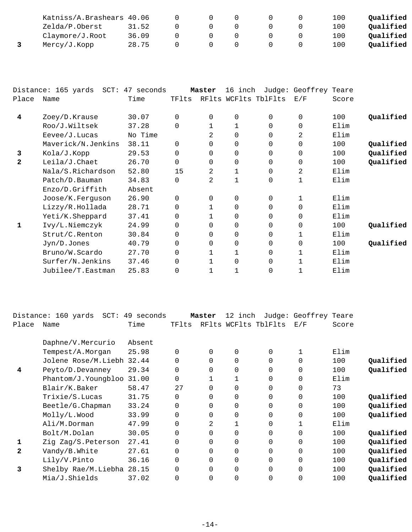| Katniss/A.Brashears 40.06 |       |    |  | 100 | Oualified |
|---------------------------|-------|----|--|-----|-----------|
| Zelda/P.Oberst            | 31.52 |    |  | 100 | Oualified |
| Claymore/J.Root           | 36.09 | O. |  | 100 | Qualified |
| Mercy/J.Kopp              | 28.75 |    |  | 100 | Oualified |

|                | Distance: 165 yards  SCT: 47 seconds |         |          | Master   | 16 inch              |          | Judge: Geoffrey Teare |       |           |
|----------------|--------------------------------------|---------|----------|----------|----------------------|----------|-----------------------|-------|-----------|
| Place          | Name                                 | Time    | TFlts    |          | RFlts WCFlts TblFlts |          | E/F                   | Score |           |
|                |                                      |         |          |          |                      |          |                       |       |           |
| 4              | Zoey/D.Krause                        | 30.07   | $\Omega$ | $\Omega$ | 0                    | $\Omega$ | $\mathbf 0$           | 100   | Qualified |
|                | Roo/J.Wiltsek                        | 37.28   | $\Omega$ |          | 1                    | 0        | $\mathbf 0$           | Elim  |           |
|                | Eevee/J.Lucas                        | No Time |          | 2        | $\Omega$             | 0        | 2                     | Elim  |           |
|                | Maverick/N.Jenkins                   | 38.11   | $\Omega$ | 0        | 0                    | 0        | $\mathbf 0$           | 100   | Qualified |
| 3              | Kola/J.Kopp                          | 29.53   | $\Omega$ | $\Omega$ | $\Omega$             | 0        | $\Omega$              | 100   | Qualified |
| $\overline{2}$ | Leila/J.Chaet                        | 26.70   | $\Omega$ | $\Omega$ | 0                    | $\Omega$ | $\mathbf 0$           | 100   | Qualified |
|                | Nala/S.Richardson                    | 52.80   | 15       | 2        | 1                    | 0        | 2                     | Elim  |           |
|                | Patch/D.Bauman                       | 34.83   | $\Omega$ | 2        | 1                    | 0        | 1                     | Elim  |           |
|                | Enzo/D.Griffith                      | Absent  |          |          |                      |          |                       |       |           |
|                | Joose/K.Ferguson                     | 26.90   | $\Omega$ | $\Omega$ | 0                    | 0        |                       | Elim  |           |
|                | Lizzy/R.Hollada                      | 28.71   | $\Omega$ |          | $\Omega$             | 0        | $\Omega$              | Elim  |           |
|                | Yeti/K.Sheppard                      | 37.41   | 0        |          | 0                    | 0        | 0                     | Elim  |           |
| 1              | Ivy/L.Niemczyk                       | 24.99   | $\Omega$ | $\Omega$ | 0                    | 0        | $\mathbf 0$           | 100   | Qualified |
|                | Strut/C.Renton                       | 30.84   | 0        | 0        | 0                    | 0        | 1                     | Elim  |           |
|                | Jyn/D.Jones                          | 40.79   | $\Omega$ | $\Omega$ | 0                    | 0        | $\Omega$              | 100   | Qualified |
|                | Bruno/W.Scardo                       | 27.70   | 0        |          |                      | 0        |                       | Elim  |           |
|                | Surfer/N.Jenkins                     | 37.46   | 0        |          | $\Omega$             | $\Omega$ |                       | Elim  |           |
|                | Jubilee/T.Eastman                    | 25.83   | 0        |          |                      | 0        |                       | Elim  |           |

|       | Distance: 160 yards<br>$SCT$ : | 49 seconds |          | Master   | 12<br>inch           |                | Judge: Geoffrey Teare |       |           |
|-------|--------------------------------|------------|----------|----------|----------------------|----------------|-----------------------|-------|-----------|
| Place | Name                           | Time       | TFlts    |          | RFlts WCFlts TblFlts |                | E/F                   | Score |           |
|       | Daphne/V.Mercurio              | Absent     |          |          |                      |                |                       |       |           |
|       | Tempest/A.Morgan               | 25.98      | $\Omega$ | 0        | 0                    | 0              |                       | Elim  |           |
|       | Jolene Rose/M.Liebh 32.44      |            |          | 0        | 0                    | 0              | 0                     | 100   | Qualified |
| 4     | Peyto/D.Devanney               | 29.34      | 0        | 0        | 0                    | 0              | 0                     | 100   | Qualified |
|       | Phantom/J.Youngbloo            | 31.00      | $\Omega$ |          |                      | 0              | 0                     | Elim  |           |
|       | Blair/K.Baker                  | 58.47      | 27       | 0        | 0                    | $\Omega$       | 0                     | 73    |           |
|       | Trixie/S.Lucas                 | 31.75      | $\Omega$ | $\Omega$ | 0                    | $\overline{0}$ | 0                     | 100   | Qualified |
|       | Beetle/G. Chapman              | 33.24      | $\Omega$ | $\Omega$ | 0                    | $\Omega$       | 0                     | 100   | Qualified |
|       | Molly/L.Wood                   | 33.99      | $\Omega$ | 0        | 0                    | 0              | 0                     | 100   | Qualified |
|       | Ali/M.Dorman                   | 47.99      | $\Omega$ | 2        |                      | $\Omega$       |                       | Elim  |           |
|       | Bolt/M.Dolan                   | 30.05      | $\Omega$ | 0        | 0                    | $\Omega$       | $\Omega$              | 100   | Qualified |
|       | Zig Zag/S.Peterson             | 27.41      | $\Omega$ | $\Omega$ | 0                    | $\Omega$       | $\Omega$              | 100   | Qualified |
| 2     | Vandy/B.White                  | 27.61      | $\Omega$ | $\Omega$ | 0                    | $\Omega$       | 0                     | 100   | Qualified |
|       | Lily/V.Pinto                   | 36.16      | $\Omega$ | 0        | 0                    | $\Omega$       | $\Omega$              | 100   | Qualified |
| 3     | Shelby Rae/M.Liebha 28.15      |            | $\Omega$ | 0        | 0                    | $\Omega$       | $\Omega$              | 100   | Qualified |
|       | Mia/J.Shields                  | 37.02      | $\Omega$ | 0        | 0                    | 0              | 0                     | 100   | Qualified |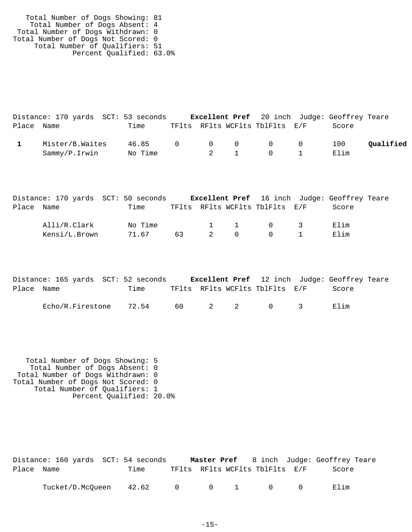Total Number of Dogs Showing: 81 Total Number of Dogs Absent: 4 Total Number of Dogs Withdrawn: 0 Total Number of Dogs Not Scored: 0 Total Number of Qualifiers: 51 Percent Qualified: 63.0%

|            | Distance: 170 yards SCT: 53 seconds |                 |  |                                | <b>Excellent Pref</b> 20 inch Judge: Geoffrey Teare |           |
|------------|-------------------------------------|-----------------|--|--------------------------------|-----------------------------------------------------|-----------|
| Place Name |                                     | Time            |  | TFlts RFlts WCFlts TblFlts E/F | Score                                               |           |
|            | Mister/B.Waites                     | 46.85 0 0 0 0 0 |  |                                | 100                                                 | Qualified |
|            | Sammy/P.Irwin                       | No Time         |  | 2 1 0 1                        | Elim                                                |           |

|            |               | Distance: 170 yards SCT: 50 seconds |    |                |          |                                | <b>Excellent Pref</b> 16 inch Judge: Geoffrey Teare |  |
|------------|---------------|-------------------------------------|----|----------------|----------|--------------------------------|-----------------------------------------------------|--|
| Place Name |               | Time                                |    |                |          | TFlts RFlts WCFlts TblFlts E/F | Score                                               |  |
|            | Alli/R.Clark  | No Time                             |    |                |          | 1 1 0 3                        | Elim                                                |  |
|            | Kensi/L.Brown | 71.67                               | 63 | $\overline{2}$ | $\Omega$ | $\bigcap$                      | Elim                                                |  |

|            | Distance: 165 yards SCT: 52 seconds |       |  |                                | <b>Excellent Pref</b> 12 inch Judge: Geoffrey Teare |  |
|------------|-------------------------------------|-------|--|--------------------------------|-----------------------------------------------------|--|
| Place Name |                                     | Time  |  | TFlts RFlts WCFlts TblFlts E/F | Score                                               |  |
|            | Echo/R.Firestone                    | 72.54 |  | 60 2 2 0 3                     | Elim                                                |  |

 Total Number of Dogs Showing: 5 Total Number of Dogs Absent: 0 Total Number of Dogs Withdrawn: 0 Total Number of Dogs Not Scored: 0 Total Number of Qualifiers: 1 Percent Qualified: 20.0%

|            | Distance: 160 yards SCT: 54 seconds |       |  |                       |                                | <b>Master Pref</b> 8 inch Judge: Geoffrey Teare |  |
|------------|-------------------------------------|-------|--|-----------------------|--------------------------------|-------------------------------------------------|--|
| Place Name |                                     | Time  |  |                       | TFlts RFlts WCFlts TblFlts E/F | Score                                           |  |
|            | Tucket/D.McOueen                    | 42.62 |  | $0 \qquad 0 \qquad 1$ | $\bigcap$                      | Elim                                            |  |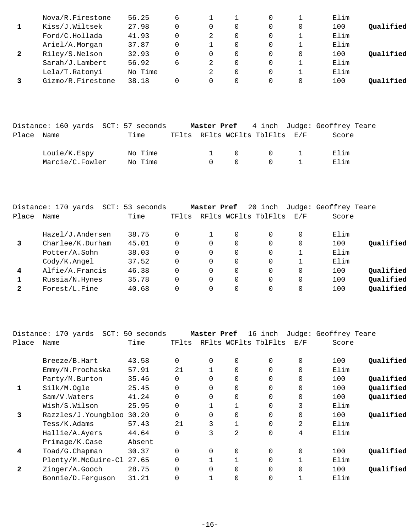| Nova/R.Firestone  | 56.25   | 6 |   |   |          | Elim |           |
|-------------------|---------|---|---|---|----------|------|-----------|
| Kiss/J.Wiltsek    | 27.98   |   | 0 | 0 | $\Omega$ | 100  | Oualified |
| Ford/C.Hollada    | 41.93   |   | 2 | 0 |          | Elim |           |
| Ariel/A.Morgan    | 37.87   |   |   | 0 |          | Elim |           |
| Riley/S.Nelson    | 32.93   |   | 0 | 0 | $\Omega$ | 100  | Oualified |
| Sarah/J.Lambert   | 56.92   | 6 | 2 | 0 |          | Elim |           |
| Lela/T.Ratonyi    | No Time |   |   | 0 |          | Elim |           |
| Gizmo/R.Firestone | 38.18   |   |   | 0 | $\Omega$ | 100  | Oualified |
|                   |         |   |   |   |          |      |           |

|            | Distance: 160 yards SCT: 57 seconds |         |        |                                              |                                        | <b>Master Pref</b> 4 inch Judge: Geoffrey Teare |
|------------|-------------------------------------|---------|--------|----------------------------------------------|----------------------------------------|-------------------------------------------------|
| Place Name |                                     | Time    |        |                                              | TFlts RFlts WCFlts TblFlts E/F         | Score                                           |
|            | Louie/K.Espy                        | No Time |        | $\begin{matrix} 1 & \mathbf{0} \end{matrix}$ | $\begin{array}{ccc} 0 & 1 \end{array}$ | Elim                                            |
|            | Marcie/C.Fowler                     | No Time | $\cap$ | $\bigcap$                                    | $\cap$ $\cap$                          | Elim                                            |

|       | Distance: 170 yards<br>SCT: | 53 seconds |          | Master Pref |          | 20 inch              |             | Judge: Geoffrey Teare |           |
|-------|-----------------------------|------------|----------|-------------|----------|----------------------|-------------|-----------------------|-----------|
| Place | Name                        | Time       | TFlts    |             |          | RFlts WCFlts TblFlts | E/F         | Score                 |           |
|       | Hazel/J.Andersen            | 38.75      | 0        |             | 0        | 0                    | $\Omega$    | Elim                  |           |
|       | Charlee/K.Durham            | 45.01      | 0        | 0           | 0        | 0                    | 0           | 100                   | Oualified |
|       | Potter/A.Sohn               | 38.03      | $\Omega$ | 0           | $\Omega$ | $\Omega$             |             | Elim                  |           |
|       | $\text{Cody/K}$ . Angel     | 37.52      | 0        | 0           | 0        | 0                    |             | Elim                  |           |
| 4     | Alfie/A.Francis             | 46.38      | $\Omega$ | $\Omega$    | $\Omega$ | $\Omega$             | $\Omega$    | 100                   | Qualified |
|       | Russia/N.Hynes              | 35.78      | $\Omega$ | $\Omega$    | 0        | $\Omega$             | $\mathbf 0$ | 100                   | Qualified |
| 2     | Forest/L.Fine               | 40.68      | 0        |             | 0        | 0                    | $\Omega$    | 100                   | Qualified |
|       |                             |            |          |             |          |                      |             |                       |           |

|                | Distance: 170 yards<br>$SCT$ : | 50 seconds |          | Master Pref    |                | 16 inch              |             | Judge: Geoffrey Teare |           |
|----------------|--------------------------------|------------|----------|----------------|----------------|----------------------|-------------|-----------------------|-----------|
| Place          | Name                           | Time       | TFlts    |                |                | RFlts WCFlts TblFlts | E/F         | Score                 |           |
|                | Breeze/B.Hart                  | 43.58      | $\Omega$ | $\Omega$       | $\Omega$       | $\Omega$             | $\mathbf 0$ | 100                   | Qualified |
|                | Emmy/N.Prochaska               | 57.91      | 21       |                | $\Omega$       | $\Omega$             | $\mathbf 0$ | Elim                  |           |
|                | Party/M.Burton                 | 35.46      | $\Omega$ | $\Omega$       | 0              | 0                    | $\mathbf 0$ | 100                   | Qualified |
| 1              | Silk/M.Oqle                    | 25.45      | $\Omega$ | 0              | 0              | 0                    | $\mathbf 0$ | 100                   | Qualified |
|                | Sam/V.Waters                   | 41.24      | $\Omega$ | $\Omega$       | 0              | 0                    | $\mathbf 0$ | 100                   | Qualified |
|                | Wish/S.Wilson                  | 25.95      | $\Omega$ |                |                | 0                    | 3           | Elim                  |           |
| 3              | Razzles/J.Youngbloo            | 30.20      | $\Omega$ | $\Omega$       | 0              | $\Omega$             | $\mathbf 0$ | 100                   | Qualified |
|                | Tess/K.Adams                   | 57.43      | 21       | 3              |                | $\mathbf 0$          | 2           | Elim                  |           |
|                | Hallie/A.Ayers                 | 44.64      | $\Omega$ | 3              | $\overline{a}$ | 0                    | 4           | Elim                  |           |
|                | Primage/K.Case                 | Absent     |          |                |                |                      |             |                       |           |
| 4              | Toad/G.Chapman                 | 30.37      | $\Omega$ | $\overline{0}$ | 0              | $\Omega$             | $\mathbf 0$ | 100                   | Qualified |
|                | Plenty/M.McGuire-Cl            | 27.65      | $\Omega$ |                |                | 0                    | $\mathbf 1$ | Elim                  |           |
| $\overline{2}$ | Zinger/A.Gooch                 | 28.75      | $\Omega$ | $\Omega$       | $\Omega$       | $\Omega$             | $\mathbf 0$ | 100                   | Qualified |
|                | Bonnie/D.Ferquson              | 31.21      |          | 1              | $\Omega$       | 0                    | 1           | Elim                  |           |
|                |                                |            |          |                |                |                      |             |                       |           |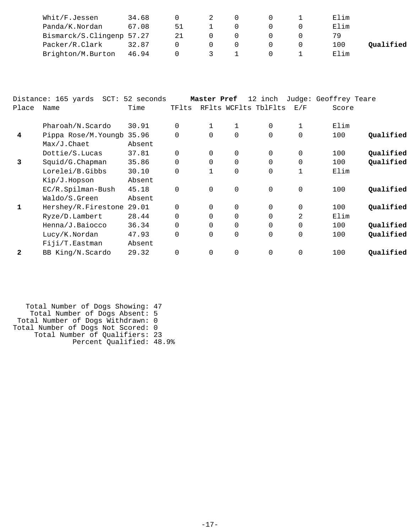| Whit/F.Jessen             | 34.68 |    |  |  | Elim |           |
|---------------------------|-------|----|--|--|------|-----------|
| Panda/K.Nordan            | 67.08 | 51 |  |  | Elim |           |
| Bismarck/S.Clingenp 57.27 |       | 21 |  |  | 79   |           |
| Packer/R.Clark            | 32.87 |    |  |  | 100  | Qualified |
| Brighton/M.Burton         | 46.94 |    |  |  | Elim |           |

|              | Distance: 165 yards<br>$SCT$ : | 52 seconds |             | Master Pref |             | 12 inch              |             | Judge: Geoffrey Teare |           |
|--------------|--------------------------------|------------|-------------|-------------|-------------|----------------------|-------------|-----------------------|-----------|
| Place        | Name                           | Time       | TFlts       |             |             | RFlts WCFlts TblFlts | E/F         | Score                 |           |
|              | Pharoah/N.Scardo               | 30.91      | $\Omega$    | 1           | 1           | 0                    | 1           | Elim                  |           |
| 4            | Pippa Rose/M.Youngb            | 35.96      | $\Omega$    | $\Omega$    | $\Omega$    | $\Omega$             | $\Omega$    | 100                   | Qualified |
|              | $Max/J$ . Chaet                | Absent     |             |             |             |                      |             |                       |           |
|              | Dottie/S.Lucas                 | 37.81      | $\Omega$    | $\Omega$    | $\mathbf 0$ | $\Omega$             | 0           | 100                   | Qualified |
| 3            | Squid/G. Chapman               | 35.86      | $\Omega$    | $\Omega$    | $\mathbf 0$ | $\Omega$             | $\mathbf 0$ | 100                   | Qualified |
|              | Lorelei/B.Gibbs                | 30.10      | $\Omega$    |             | $\mathbf 0$ | $\Omega$             | $\mathbf 1$ | Elim                  |           |
|              | Kip/J.Hopson                   | Absent     |             |             |             |                      |             |                       |           |
|              | EC/R.Spilman-Bush              | 45.18      | $\mathbf 0$ | 0           | 0           | $\mathbf 0$          | $\mathbf 0$ | 100                   | Qualified |
|              | Waldo/S.Green                  | Absent     |             |             |             |                      |             |                       |           |
| 1            | Hershey/R.Firestone            | 29.01      | $\Omega$    | $\Omega$    | $\mathbf 0$ | $\Omega$             | $\mathbf 0$ | 100                   | Qualified |
|              | Ryze/D.Lambert                 | 28.44      | $\Omega$    | $\Omega$    | 0           | $\Omega$             | 2           | Elim                  |           |
|              | Henna/J.Baiocco                | 36.34      | $\Omega$    | $\Omega$    | $\mathbf 0$ | $\Omega$             | $\Omega$    | 100                   | Qualified |
|              | Lucy/K.Nordan                  | 47.93      | $\Omega$    | $\Omega$    | $\mathbf 0$ | $\Omega$             | $\mathbf 0$ | 100                   | Qualified |
|              | Fiji/T.Eastman                 | Absent     |             |             |             |                      |             |                       |           |
| $\mathbf{2}$ | BB King/N.Scardo               | 29.32      | $\Omega$    | $\Omega$    | $\mathbf 0$ | $\Omega$             | $\Omega$    | 100                   | Qualified |

| Total Number of Dogs Showing: 47   |  |
|------------------------------------|--|
| Total Number of Dogs Absent: 5     |  |
| Total Number of Dogs Withdrawn: 0  |  |
| Total Number of Dogs Not Scored: 0 |  |
| Total Number of Qualifiers: 23     |  |
| Percent Qualified: 48.9%           |  |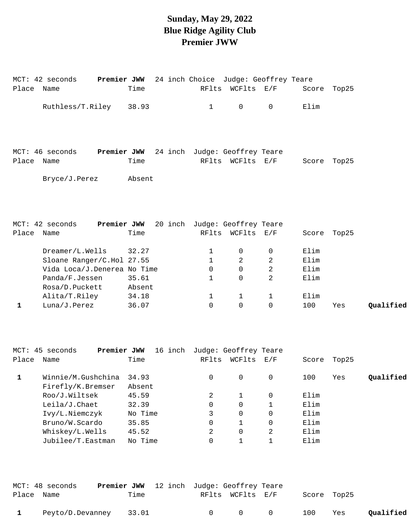#### **Sunday, May 29, 2022 Blue Ridge Agility Club Premier JWW**

| Place Name   | MCT: 42 seconds             | <b>Premier JWW</b> 24 inch Choice Judge: Geoffrey Teare<br>Time |              | RFlts WCFlts E/F |                |      | Score Top25 |           |
|--------------|-----------------------------|-----------------------------------------------------------------|--------------|------------------|----------------|------|-------------|-----------|
|              | Ruthless/T.Riley            | 38.93                                                           | $\mathbf{1}$ | 0                | $\mathsf{O}$   | Elim |             |           |
|              |                             |                                                                 |              |                  |                |      |             |           |
|              |                             |                                                                 |              |                  |                |      |             |           |
|              |                             |                                                                 |              |                  |                |      |             |           |
|              | MCT: 46 seconds             | Premier JWW 24 inch Judge: Geoffrey Teare                       |              |                  |                |      |             |           |
| Place Name   |                             | Time                                                            |              | RFlts WCFlts E/F |                |      | Score Top25 |           |
|              | Bryce/J.Perez               | Absent                                                          |              |                  |                |      |             |           |
|              |                             |                                                                 |              |                  |                |      |             |           |
|              |                             |                                                                 |              |                  |                |      |             |           |
|              |                             |                                                                 |              |                  |                |      |             |           |
|              | MCT: 42 seconds             | Premier JWW 20 inch Judge: Geoffrey Teare                       |              |                  |                |      |             |           |
| Place Name   |                             | Time                                                            |              | RFlts WCFlts E/F |                |      | Score Top25 |           |
|              | Dreamer/L.Wells             | 32.27                                                           | $\mathbf{1}$ | $\mathbf 0$      | $\mathbf 0$    | Elim |             |           |
|              | Sloane Ranger/C.Hol 27.55   |                                                                 | $\mathbf{1}$ | 2                | 2              | Elim |             |           |
|              | Vida Loca/J.Denerea No Time |                                                                 | $\Omega$     | $\Omega$         | $\overline{2}$ | Elim |             |           |
|              | Panda/F.Jessen              | 35.61                                                           | 1            | $\Omega$         | $\overline{a}$ | Elim |             |           |
|              | Rosa/D.Puckett              | Absent                                                          |              |                  |                |      |             |           |
|              | Alita/T.Riley               | 34.18                                                           | $\mathbf{1}$ | $\mathbf{1}$     | $\mathbf{1}$   | Elim |             |           |
| $\mathbf{1}$ | Luna/J.Perez                | 36.07                                                           | $\mathbf 0$  | $\mathbf 0$      | 0              | 100  | Yes         | Qualified |
|              |                             |                                                                 |              |                  |                |      |             |           |
|              |                             |                                                                 |              |                  |                |      |             |           |
|              |                             |                                                                 |              |                  |                |      |             |           |

|       | Premier JWW<br>MCT: 45 seconds | inch<br>16 | Judge: Geoffrey Teare |          |     |       |       |           |
|-------|--------------------------------|------------|-----------------------|----------|-----|-------|-------|-----------|
| Place | Name                           | Time       | RFlts                 | WCFlts   | E/F | Score | Top25 |           |
|       | Winnie/M.Gushchina             | 34.93      | $\Omega$              | $\Omega$ | 0   | 100   | Yes   | Qualified |
|       | Firefly/K.Bremser              | Absent     |                       |          |     |       |       |           |
|       | Roo/J.Wiltsek                  | 45.59      | 2                     |          | 0   | Elim  |       |           |
|       | Leila/J.Chaet                  | 32.39      | 0                     |          |     | Elim  |       |           |
|       | Ivy/L.Niemczyk                 | No Time    | 3                     |          | 0   | Elim  |       |           |
|       | Bruno/W.Scardo                 | 35.85      | 0                     |          | 0   | Elim  |       |           |
|       | Whiskey/L.Wells                | 45.52      | 2                     |          | 2   | Elim  |       |           |
|       | Jubilee/T.Eastman              | No Time    | 0                     |          |     | Elim  |       |           |

|            | MCT: 48 seconds  | <b>Premier JWW</b> 12 inch Judge: Geoffrey Teare |        |                  |                                     |             |     |           |
|------------|------------------|--------------------------------------------------|--------|------------------|-------------------------------------|-------------|-----|-----------|
| Place Name |                  | Time                                             |        | RFlts WCFlts E/F |                                     | Score Top25 |     |           |
| 1          | Peyto/D.Devanney | 33.01                                            | $\cap$ |                  | $\begin{matrix} 0 & 0 \end{matrix}$ | 100         | Yes | Qualified |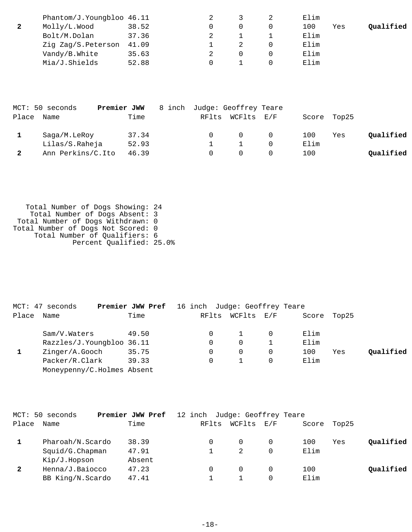| Phantom/J.Youngbloo 46.11 |       |  | Elim |     |           |
|---------------------------|-------|--|------|-----|-----------|
| Molly/L.Wood              | 38.52 |  | 100  | Yes | Qualified |
| Bolt/M.Dolan              | 37.36 |  | Elim |     |           |
| Zig Zag/S. Peterson 41.09 |       |  | Elim |     |           |
| Vandy/B.White             | 35.63 |  | Elim |     |           |
| Mia/J.Shields             | 52.88 |  | Elim |     |           |

|       | MCT: 50 seconds   | Premier JWW | 8 inch Judge: Geoffrey Teare |                  |     |      |             |           |
|-------|-------------------|-------------|------------------------------|------------------|-----|------|-------------|-----------|
| Place | Name              | Time        |                              | RFlts WCFlts E/F |     |      | Score Top25 |           |
|       | Saga/M.LeRoy      | 37.34       |                              |                  | - 0 | 100  | Yes         | Oualified |
|       | Lilas/S.Raheja    | 52.93       |                              |                  |     | Elim |             |           |
|       | Ann Perkins/C.Ito | 46.39       |                              |                  |     | 100  |             | Qualified |

 Total Number of Dogs Showing: 24 Total Number of Dogs Absent: 3 Total Number of Dogs Withdrawn: 0 Total Number of Dogs Not Scored: 0 Total Number of Qualifiers: 6 Percent Qualified: 25.0%

|       | MCT: 47 seconds            | Premier JWW Pref | 16 inch Judge: Geoffrey Teare |            |             |     |           |
|-------|----------------------------|------------------|-------------------------------|------------|-------------|-----|-----------|
| Place | Name                       | Time             | RFlts                         | WCFlts E/F | Score Top25 |     |           |
|       | Sam/V.Waters               | 49.50            |                               |            | Elim        |     |           |
|       | Razzles/J.Youngbloo 36.11  |                  |                               | $\Omega$   | Elim        |     |           |
|       | Zinger/A.Gooch             | 35.75            |                               | $\Omega$   | 100         | Yes | Oualified |
|       | Packer/R.Clark             | 39.33            |                               |            | Elim        |     |           |
|       | Moneypenny/C.Holmes Absent |                  |                               |            |             |     |           |

| Place<br>Time<br>WCFlts<br>RFlts<br>$\rm E$ / $\rm F$<br>Top25<br>Name<br>Score |           |
|---------------------------------------------------------------------------------|-----------|
|                                                                                 |           |
| 38.39<br>Pharoah/N.Scardo<br>100<br>Yes<br>0                                    | Qualified |
| Elim<br>$Squid/G.C$ hapman<br>47.91                                             |           |
| Absent<br>Kip/J.Hopson                                                          |           |
| $\mathbf{2}$<br>Henna/J.Baiocco<br>47.23<br>100<br>$\Omega$                     | Qualified |
| Elim<br>BB King/N.Scardo<br>47.41                                               |           |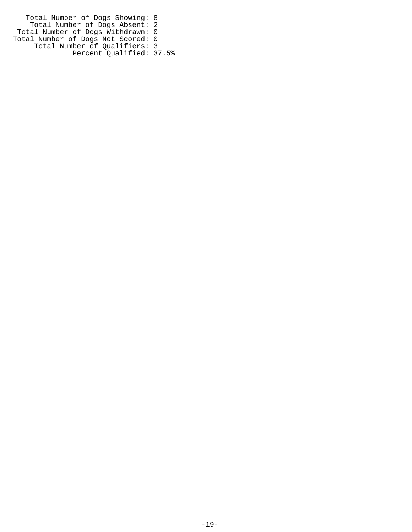Total Number of Dogs Showing: 8 Total Number of Dogs Absent: 2 Total Number of Dogs Withdrawn: 0 Total Number of Dogs Not Scored: 0 Total Number of Qualifiers: 3 Percent Qualified: 37.5%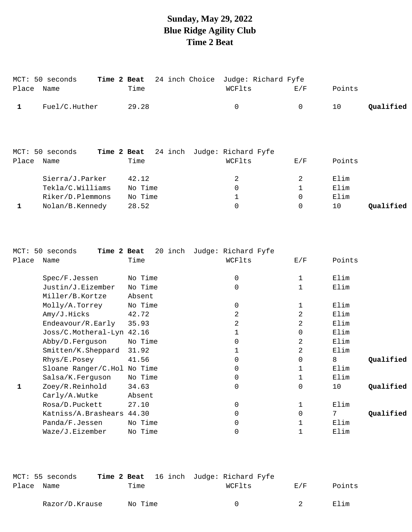# **Sunday, May 29, 2022 Blue Ridge Agility Club Time 2 Beat**

| Place | MCT: 50 seconds<br>Name | 24 inch Choice<br>Time 2 Beat<br>Time | Judge: Richard Fyfe<br>WCFlts                     | E/F | Points |           |
|-------|-------------------------|---------------------------------------|---------------------------------------------------|-----|--------|-----------|
| 1     | Fuel/C.Huther           | 29.28                                 | 0                                                 | 0   | 10     | Qualified |
| Place | MCT: 50 seconds<br>Name | Time                                  | Time 2 Beat 24 inch Judge: Richard Fyfe<br>WCFlts | E/F | Points |           |
|       | Sierra/J.Parker         | 42.12                                 | 2                                                 | 2   | Elim   |           |
|       | Tekla/C.Williams        | No Time                               | 0                                                 | 1   | Elim   |           |
|       | Riker/D.Plemmons        | No Time                               | 1                                                 | 0   | Elim   |           |
| 1     | Nolan/B.Kennedy         | 28.52                                 | 0                                                 | 0   | 10     | Oualified |

| $MCT$ : | 50 seconds<br>Time 2 Beat   | 20 inch | Judge: Richard Fyfe |             |                 |
|---------|-----------------------------|---------|---------------------|-------------|-----------------|
| Place   | Name                        | Time    | WCFlts              | E/F         | Points          |
|         |                             |         |                     |             |                 |
|         | Spec/F.Jessen               | No Time | 0                   | 1           | Elim            |
|         | Justin/J.Eizember           | No Time | 0                   | 1           | Elim            |
|         | Miller/B.Kortze             | Absent  |                     |             |                 |
|         | Molly/A.Torrey              | No Time | 0                   |             | Elim            |
|         | Amy/J.Hicks                 | 42.72   | 2                   | 2           | Elim            |
|         | Endeavour/R.Early           | 35.93   | 2                   | 2           | Elim            |
|         | Joss/C.Motheral-Lyn 42.16   |         |                     | $\mathbf 0$ | Elim            |
|         | Abby/D.Ferguson             | No Time | $\Omega$            | 2           | Elim            |
|         | Smitten/K.Sheppard          | 31.92   |                     | 2           | Elim            |
|         | Rhys/E.Posey                | 41.56   | 0                   | $\Omega$    | 8<br>Qualified  |
|         | Sloane Ranger/C.Hol No Time |         | 0                   |             | Elim            |
|         | Salsa/K.Ferguson            | No Time | 0                   | 1           | Elim            |
| 1       | Zoey/R.Reinhold             | 34.63   | 0                   | 0           | Qualified<br>10 |
|         | Carly/A.Wutke               | Absent  |                     |             |                 |
|         | Rosa/D.Puckett              | 27.10   | 0                   |             | Elim            |
|         | Katniss/A.Brashears         | 44.30   | 0                   | $\Omega$    | Qualified       |
|         | Panda/F.Jessen              | No Time | 0                   |             | Elim            |
|         | Waze/J.Eizember             | No Time | 0                   |             | Elim            |

|            | MCT: 55 seconds |         |  | Time 2 Beat 16 inch Judge: Richard Fyfe |        |        |
|------------|-----------------|---------|--|-----------------------------------------|--------|--------|
| Place Name |                 | Time    |  | WCFlts                                  | F. / F | Points |
|            | Razor/D.Krause  | No Time |  | $\cap$                                  | - 2    | Elim   |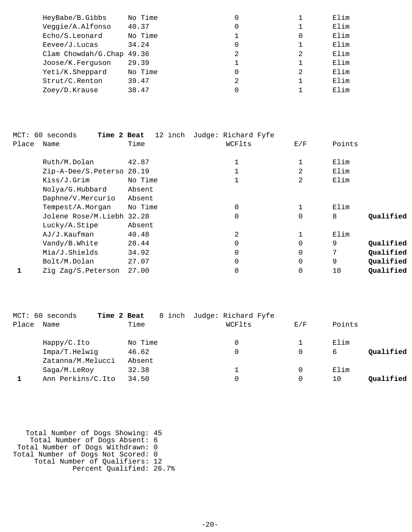| HeyBabe/B.Gibbs           | No Time | 0              |   | Elim |
|---------------------------|---------|----------------|---|------|
| Veggie/A.Alfonso          | 40.37   | 0              |   | Elim |
| Echo/S.Leonard            | No Time |                | 0 | Elim |
| $E$ evee/J.Lucas          | 34.24   | 0              |   | Elim |
| Clam Chowdah/G.Chap 49.36 |         | $\mathfrak{D}$ | 2 | Elim |
| Joose/K.Ferguson          | 29.39   |                |   | Elim |
| Yeti/K.Sheppard           | No Time |                | 2 | Elim |
| Strut/C.Renton            | 39.47   | 2              |   | Elim |
| Zoey/D.Krause             | 38.47   |                |   | Elim |
|                           |         |                |   |      |

|       | MCT: 60 seconds<br>Time 2 Beat | 12 inch | Judge: Richard Fyfe |          |        |           |
|-------|--------------------------------|---------|---------------------|----------|--------|-----------|
| Place | Name                           | Time    | WCFlts              | E/F      | Points |           |
|       | Ruth/M.Dolan                   | 42.87   |                     |          | Elim   |           |
|       | Zip-A-Dee/S.Peterso 28.19      |         |                     | 2        | Elim   |           |
|       | Kiss/J.Grim                    | No Time |                     | 2        | Elim   |           |
|       | Nolya/G.Hubbard                | Absent  |                     |          |        |           |
|       | Daphne/V.Mercurio              | Absent  |                     |          |        |           |
|       | Tempest/A.Morgan               | No Time | 0                   |          | Elim   |           |
|       | Jolene Rose/M.Liebh 32.28      |         | 0                   | $\Omega$ | 8      | Qualified |
|       | Lucky/A.Stipe                  | Absent  |                     |          |        |           |
|       | AJ/J.Kaufman                   | 40.48   | 2                   |          | Elim   |           |
|       | Vandy/B.White                  | 28.44   | 0                   | $\Omega$ | 9      | Qualified |
|       | Mia/J.Shields                  | 34.92   | 0                   | $\Omega$ | 7      | Qualified |
|       | Bolt/M.Dolan                   | 27.07   | 0                   | $\Omega$ | 9      | Qualified |
|       | Zig Zag/S.Peterson             | 27.00   | 0                   | 0        | 10     | Qualified |

|       | MCT: 60 seconds   | Time 2 Beat | 8 inch Judge: Richard Fyfe |     |                 |
|-------|-------------------|-------------|----------------------------|-----|-----------------|
| Place | Name              | Time        | WCFlts                     | E/F | Points          |
|       | Happy/C.Ito       | No Time     |                            |     | Elim            |
|       | Impa/T.Helwig     | 46.62       |                            | 0   | Oualified<br>6  |
|       | Zatanna/M.Melucci | Absent      |                            |     |                 |
|       | Saga/M.LeRoy      | 32.38       | 1                          | 0   | Elim            |
|       | Ann Perkins/C.Ito | 34.50       |                            |     | Oualified<br>10 |

| Total Number of Dogs Showing: 45   |  |
|------------------------------------|--|
| Total Number of Dogs Absent: 6     |  |
| Total Number of Dogs Withdrawn: 0  |  |
| Total Number of Dogs Not Scored: 0 |  |
| Total Number of Qualifiers: 12     |  |
| Percent Qualified: 26.7%           |  |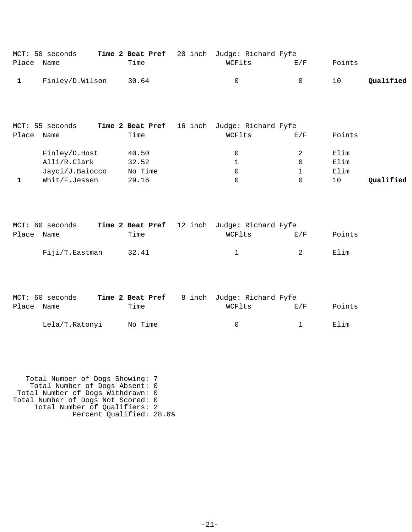|            | MCT: 50 seconds         |      | Time 2 Beat Pref 20 inch Judge: Richard Fyfe |                |        |           |
|------------|-------------------------|------|----------------------------------------------|----------------|--------|-----------|
| Place Name |                         | Time | WCFlts                                       | E/F            | Points |           |
|            | 1 Finley/D.Wilson 30.64 |      | $\bigcap$                                    | $\overline{a}$ | 10     | Qualified |

|       | MCT: 55 seconds | Time 2 Beat Pref 16 inch Judge: Richard Fyfe |        |     |        |           |
|-------|-----------------|----------------------------------------------|--------|-----|--------|-----------|
| Place | Name            | Time                                         | WCFlts | E/F | Points |           |
|       | Finley/D.Host   | 40.50                                        |        |     | Elim   |           |
|       | Alli/R.Clark    | 32.52                                        |        |     | Elim   |           |
|       | Jayci/J.Baiocco | No Time                                      |        |     | Elim   |           |
|       | Whit/F.Jessen   | 29.16                                        |        |     | 10     | Oualified |

|            | MCT: 60 seconds |       | Time 2 Beat Pref 12 inch Judge: Richard Fyfe |                |        |
|------------|-----------------|-------|----------------------------------------------|----------------|--------|
| Place Name |                 | Time  | WCFlts                                       | E/F            | Points |
|            | Fiji/T.Eastman  | 32.41 |                                              | $\overline{2}$ | Elim   |

|            | MCT: 60 seconds |         | <b>Time 2 Beat Pref</b> 8 inch Judge: Richard Fyfe |     |        |
|------------|-----------------|---------|----------------------------------------------------|-----|--------|
| Place Name |                 | Time    | WCFlts                                             | F/K | Points |
|            | Lela/T.Ratonyi  | No Time | $\cap$                                             |     | Elim   |

 Total Number of Dogs Showing: 7 Total Number of Dogs Absent: 0 Total Number of Dogs Withdrawn: 0 Total Number of Dogs Not Scored: 0 Total Number of Qualifiers: 2 Percent Qualified: 28.6%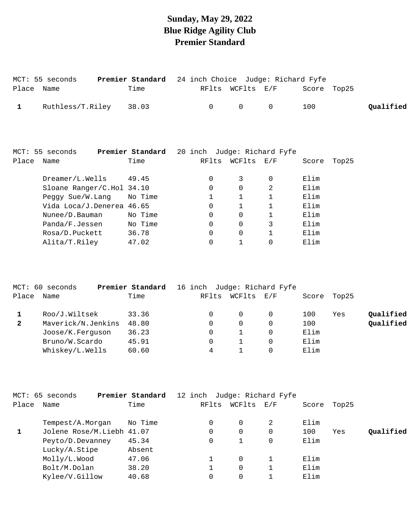### **Sunday, May 29, 2022 Blue Ridge Agility Club Premier Standard**

|       | MCT: 55 seconds           | Premier Standard                                    | 24 inch Choice Judge: Richard Fyfe |              |              |       |       |           |
|-------|---------------------------|-----------------------------------------------------|------------------------------------|--------------|--------------|-------|-------|-----------|
| Place | Name                      | Time                                                | RFlts                              | WCFlts E/F   |              | Score | Top25 |           |
| 1     | Ruthless/T.Riley          | 38.03                                               | 0                                  | $\mathbf 0$  | $\mathbf 0$  | 100   |       | Qualified |
|       | MCT: 55 seconds           | <b>Premier Standard</b> 20 inch Judge: Richard Fyfe |                                    |              |              |       |       |           |
| Place | Name                      | Time                                                | RFlts                              | WCFlts E/F   |              | Score | Top25 |           |
|       | Dreamer/L.Wells           | 49.45                                               | 0                                  | 3            | $\mathbf 0$  | Elim  |       |           |
|       | Sloane Ranger/C.Hol 34.10 |                                                     | $\Omega$                           | $\Omega$     | 2            | Elim  |       |           |
|       | Peggy Sue/W.Lang          | No Time                                             |                                    | $\mathbf{1}$ | $\mathbf{1}$ | Elim  |       |           |
|       | Vida Loca/J.Denerea 46.65 |                                                     | $\Omega$                           | 1            | $\mathbf{1}$ | Elim  |       |           |
|       | Nunee/D.Bauman            | No Time                                             | 0                                  | $\mathbf 0$  | 1            | Elim  |       |           |
|       | Panda/F.Jessen            | No Time                                             | 0                                  | 0            | 3            | Elim  |       |           |
|       | Rosa/D.Puckett            | 36.78                                               | 0                                  | 0            |              | Elim  |       |           |
|       | Alita/T.Riley             | 47.02                                               | 0                                  | 1            | 0            | Elim  |       |           |

|              | MCT: 60 seconds    | Premier Standard | 16 inch Judge: Richard Fyfe |          |     |       |       |           |
|--------------|--------------------|------------------|-----------------------------|----------|-----|-------|-------|-----------|
| Place        | Name               | Time             | RFlts                       | WCFlts   | E/F | Score | Top25 |           |
|              | Roo/J.Wiltsek      | 33.36            |                             | $\Omega$ |     | 100   | Yes   | Qualified |
| $\mathbf{2}$ | Maverick/N.Jenkins | 48.80            |                             | 0        |     | 100   |       | Qualified |
|              | Joose/K.Ferquson   | 36.23            |                             |          |     | Elim  |       |           |
|              | Bruno/W.Scardo     | 45.91            |                             |          |     | Elim  |       |           |
|              | Whiskey/L.Wells    | 60.60            | 4                           |          |     | Elim  |       |           |

|       | MCT: 65 seconds           | Premier Standard | 12 inch Judge: Richard Fyfe |          |     |       |       |           |
|-------|---------------------------|------------------|-----------------------------|----------|-----|-------|-------|-----------|
| Place | Name                      | Time             | RFlts                       | WCFlts   | E/F | Score | Top25 |           |
|       | Tempest/A.Morgan          | No Time          | 0                           | 0        | 2   | Elim  |       |           |
| 1     | Jolene Rose/M.Liebh 41.07 |                  |                             | 0        | 0   | 100   | Yes   | Oualified |
|       | Peyto/D.Devanney          | 45.34            | 0                           |          | 0   | Elim  |       |           |
|       | Lucky/A.Stipe             | Absent           |                             |          |     |       |       |           |
|       | Molly/L.Wood              | 47.06            |                             | $\Omega$ |     | Elim  |       |           |
|       | Bolt/M.Dolan              | 38.20            |                             | 0        |     | Elim  |       |           |
|       | Kylee/V.Gillow            | 40.68            |                             |          |     | Elim  |       |           |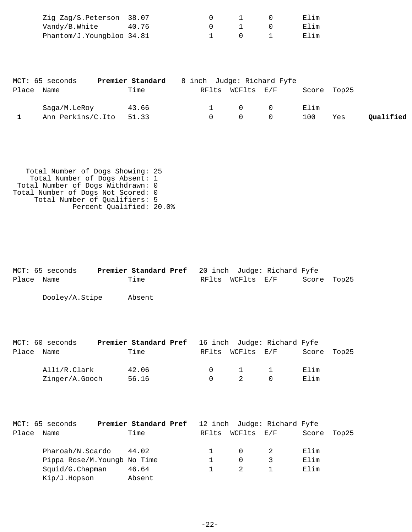| Zig Zag/S.Peterson 38.07  |  |  | Elim |
|---------------------------|--|--|------|
| Vandy/B.White 40.76       |  |  | Elim |
| Phantom/J.Youngbloo 34.81 |  |  | Elim |

|            | MCT: 65 seconds   | Premier Standard | 8 inch Judge: Richard Fyfe |                  |           |             |     |           |
|------------|-------------------|------------------|----------------------------|------------------|-----------|-------------|-----|-----------|
| Place Name |                   | Time             |                            | RFlts WCFlts E/F |           | Score Top25 |     |           |
|            | Saga/M.LeRoy      | 43.66            |                            | $\Omega$ 0       |           | Elim        |     |           |
|            | Ann Perkins/C.Ito | 51.33            | $\Omega$                   |                  | $\bigcap$ | 100         | Yes | Qualified |

| Total Number of Dogs Showing: 25   |  |
|------------------------------------|--|
| Total Number of Dogs Absent: 1     |  |
| Total Number of Dogs Withdrawn: 0  |  |
| Total Number of Dogs Not Scored: 0 |  |
| Total Number of Qualifiers: 5      |  |
| Percent Qualified: 20.0%           |  |
|                                    |  |

|            | MCT: 65 seconds | <b>Premier Standard Pref</b> 20 inch Judge: Richard Fyfe |  |                  |             |  |
|------------|-----------------|----------------------------------------------------------|--|------------------|-------------|--|
| Place Name |                 | Time                                                     |  | RFlts WCFlts E/F | Score Top25 |  |
|            |                 |                                                          |  |                  |             |  |

Dooley/A.Stipe Absent

|            | MCT: 60 seconds | <b>Premier Standard Pref</b> 16 inch Judge: Richard Fyfe |        |                  |             |  |
|------------|-----------------|----------------------------------------------------------|--------|------------------|-------------|--|
| Place Name |                 | Time                                                     |        | RFlts WCFlts E/F | Score Top25 |  |
|            | Alli/R.Clark    | 42.06                                                    | $\cap$ | $\sim$ 1         | Elim        |  |
|            | Zinger/A.Gooch  | 56.16                                                    |        | 2                | Elim        |  |

|       | MCT: 65 seconds              | Premier Standard Pref |       |            | 12 inch Judge: Richard Fyfe |       |       |
|-------|------------------------------|-----------------------|-------|------------|-----------------------------|-------|-------|
| Place | Name                         | Time                  | RFlts | WCFlts E/F |                             | Score | Top25 |
|       | Pharoah/N.Scardo             | 44.02                 |       |            |                             | Elim  |       |
|       | Pippa Rose/M. Youngb No Time |                       |       | 0          |                             | Elim  |       |
|       | Squid/G.Chapman              | 46.64                 |       |            |                             | Elim  |       |
|       | Kip/J.Hopson                 | Absent                |       |            |                             |       |       |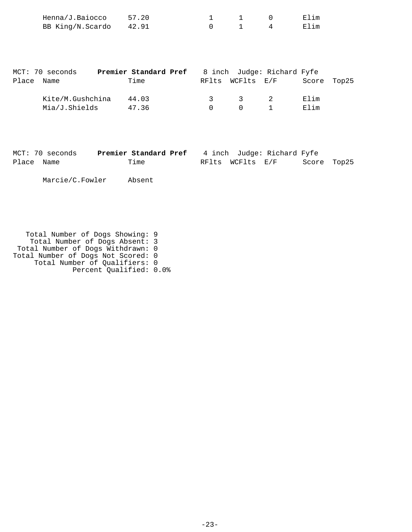| Henna/J.Baiocco        | 57.20 |  | Elim |
|------------------------|-------|--|------|
| BB King/N.Scardo 42.91 |       |  | Elim |

|       | MCT: 70 seconds  | Premier Standard Pref |               |                  | 8 inch Judge: Richard Fyfe |             |  |
|-------|------------------|-----------------------|---------------|------------------|----------------------------|-------------|--|
| Place | Name             | Time                  |               | RFlts WCFlts E/F |                            | Score Top25 |  |
|       | Kite/M.Gushchina | 44.03                 | $\mathcal{R}$ | $\mathcal{R}$    | $\overline{2}$             | Elim        |  |
|       | Mia/J.Shields    | 47.36                 | $\cap$        | $\bigcap$        |                            | Elim        |  |

| MCT: 70 seconds | Premier Standard Pref | 4 inch Judge: Richard Fyfe      |
|-----------------|-----------------------|---------------------------------|
| Place Name      | Time                  | Score Top25<br>RFlts WCFlts E/F |

Marcie/C.Fowler Absent

 Total Number of Dogs Showing: 9 Total Number of Dogs Absent: 3 Total Number of Dogs Withdrawn: 0 Total Number of Dogs Not Scored: 0 Total Number of Qualifiers: 0 Percent Qualified: 0.0%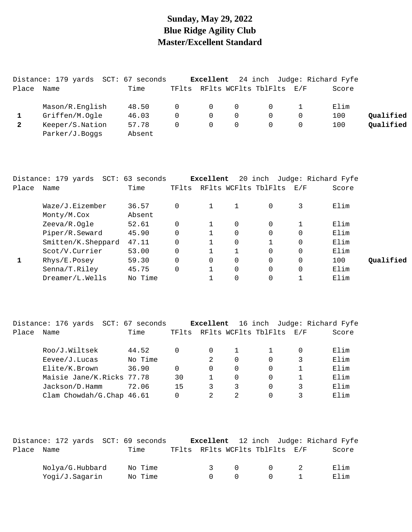### **Sunday, May 29, 2022 Blue Ridge Agility Club Master/Excellent Standard**

|       | Distance: 179 yards SCT: 67 seconds |        |          | Excellent      |   |                          |          | 24 inch Judge: Richard Fyfe |           |
|-------|-------------------------------------|--------|----------|----------------|---|--------------------------|----------|-----------------------------|-----------|
| Place | Name                                | Time   | TFlts    |                |   | RFlts WCFlts TblFlts E/F |          | Score                       |           |
|       | Mason/R.English                     | 48.50  | $\Omega$ | $\overline{0}$ | 0 | $\overline{0}$           |          | Elim                        |           |
|       | Griffen/M.Ogle                      | 46.03  | $\Omega$ | $\Omega$       |   | $\Omega$                 | $\Omega$ | 100                         | Qualified |
| 2     | Keeper/S.Nation                     | 57.78  | $\Omega$ | $\Omega$       |   |                          |          | 100                         | Qualified |
|       | Parker/J.Boqqs                      | Absent |          |                |   |                          |          |                             |           |

|       | Distance: 179 yards | SCT: 63 seconds |          | Excellent |          | 20 inch              | Judge: Richard Fyfe |       |           |
|-------|---------------------|-----------------|----------|-----------|----------|----------------------|---------------------|-------|-----------|
| Place | Name                | Time            | TFlts    |           |          | RFlts WCFlts TblFlts | $\rm E$ / $\rm F$   | Score |           |
|       | Waze/J.Eizember     | 36.57           | $\Omega$ |           |          | $\Omega$             | 3                   | Elim  |           |
|       | Monty/M.Cox         | Absent          |          |           |          |                      |                     |       |           |
|       | Zeeva/R.Ogle        | 52.61           | $\Omega$ |           | $\Omega$ |                      |                     | Elim  |           |
|       | Piper/R.Seward      | 45.90           | 0        |           | 0        |                      |                     | Elim  |           |
|       | Smitten/K.Sheppard  | 47.11           | $\Omega$ |           | 0        |                      | 0                   | Elim  |           |
|       | Scot/V.Currier      | 53.00           | $\Omega$ |           |          |                      | $\Omega$            | Elim  |           |
|       | Rhys/E.Posey        | 59.30           | $\Omega$ | $\Omega$  | $\Omega$ | $\Omega$             | $\Omega$            | 100   | Oualified |
|       | Senna/T.Riley       | 45.75           | 0        |           | $\Omega$ | $\Omega$             | $\Omega$            | Elim  |           |
|       | Dreamer/L.Wells     | No Time         |          |           | 0        |                      |                     | Elim  |           |
|       |                     |                 |          |           |          |                      |                     |       |           |

|       | SCT: 67<br>Distance: 176 yards | seconds |       | Excellent |                |                      |     | 16 inch Judge: Richard Fyfe |
|-------|--------------------------------|---------|-------|-----------|----------------|----------------------|-----|-----------------------------|
| Place | Name                           | Time    | TFlts |           |                | RFlts WCFlts TblFlts | E/F | Score                       |
|       | Roo/J.Wiltsek                  | 44.52   | 0     | $\Omega$  |                |                      |     | Elim                        |
|       | $E$ evee/J. Lucas              | No Time |       |           | 0              |                      | 3   | Elim                        |
|       | Elite/K.Brown                  | 36.90   | 0     | 0         | 0              | $\Omega$             |     | Elim                        |
|       | Maisie Jane/K.Ricks 77.78      |         | 30    |           | 0              |                      |     | Elim                        |
|       | Jackson/D.Hamm                 | 72.06   | 15    |           | 3              |                      | 3   | Elim                        |
|       | Clam Chowdah/G.Chap 46.61      |         | 0     |           | $\mathfrak{D}$ |                      |     | Elim                        |

|            | Distance: 172 yards SCT: 69 seconds |         |               |        |           |                                | Excellent 12 inch Judge: Richard Fyfe |
|------------|-------------------------------------|---------|---------------|--------|-----------|--------------------------------|---------------------------------------|
| Place Name |                                     | Time    |               |        |           | TFlts RFlts WCFlts TblFlts E/F | Score                                 |
|            | Nolya/G.Hubbard                     | No Time | $\mathcal{R}$ | $\cap$ | $\bigcap$ |                                | Elim                                  |
|            | Yogi/J.Sagarin                      | No Time | $\cap$        |        |           |                                | Elim                                  |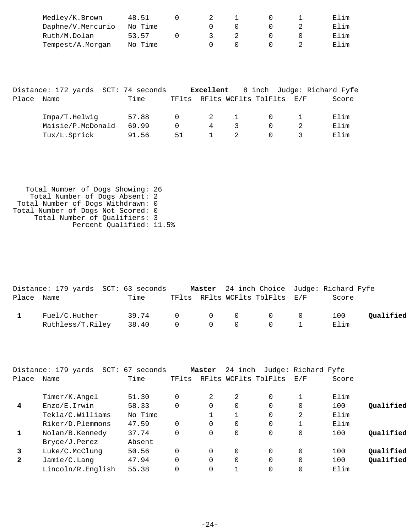| Medley/K.Brown    | 48.51   |  |  | Filim  |
|-------------------|---------|--|--|--------|
| Daphne/V.Mercurio | No Time |  |  | Elim   |
| Ruth/M.Dolan      | 53.57   |  |  | F. lim |
| Tempest/A.Morgan  | No Time |  |  | Elim   |

|       | Distance: 172 yards SCT: 74 seconds |       |                | Excellent |               |                                | 8 inch Judge: Richard Fyfe |
|-------|-------------------------------------|-------|----------------|-----------|---------------|--------------------------------|----------------------------|
| Place | Name                                | Time  |                |           |               | TFlts RFlts WCFlts TblFlts E/F | Score                      |
|       | Impa/T.Helwig                       | 57.88 | $\overline{0}$ |           | 2 1           |                                | Elim                       |
|       | Maisie/P.McDonald                   | 69.99 | $\Omega$       | 4         | $\mathcal{R}$ |                                | Elim                       |
|       | Tux/L.Sprick                        | 91.56 | 51             |           |               |                                | Elim                       |

 Total Number of Dogs Showing: 26 Total Number of Dogs Absent: 2 Total Number of Dogs Withdrawn: 0 Total Number of Dogs Not Scored: 0 Total Number of Qualifiers: 3 Percent Qualified: 11.5%

|            | Distance: 179 yards SCT: 63 seconds |                 |  |                                | <b>Master</b> 24 inch Choice Judge: Richard Fyfe |           |
|------------|-------------------------------------|-----------------|--|--------------------------------|--------------------------------------------------|-----------|
| Place Name |                                     | Time            |  | TFlts RFlts WCFlts TblFlts E/F | Score                                            |           |
|            | Fuel/C.Huther                       | 39.74 0 0 0 0 0 |  |                                | 100                                              | Qualified |
|            | Ruthless/T.Riley                    | 38.40 0 0 0 0 1 |  |                                | Flim                                             |           |

|              | Distance: 179 yards<br>$SCT$ : | 67<br>seconds |          | Master | 24 inch      |                      | Judge: Richard Fyfe |       |           |
|--------------|--------------------------------|---------------|----------|--------|--------------|----------------------|---------------------|-------|-----------|
| Place        | Name                           | Time          | TFlts    |        |              | RFlts WCFlts TblFlts | E/F                 | Score |           |
|              | Timer/K.Angel                  | 51.30         | $\Omega$ | 2      | 2            | $\Omega$             |                     | Elim  |           |
| 4            | Enzo/E.Irwin                   | 58.33         | $\Omega$ | 0      | $\Omega$     |                      | 0                   | 100   | Oualified |
|              | Tekla/C.Williams               | No Time       |          |        | $\mathbf{1}$ | $\Omega$             | 2                   | Elim  |           |
|              | Riker/D.Plemmons               | 47.59         | $\Omega$ | 0      | $\Omega$     | $\Omega$             |                     | Elim  |           |
|              | Nolan/B.Kennedy                | 37.74         | 0        | 0      | 0            | $\Omega$             | 0                   | 100   | Oualified |
|              | Bryce/J.Perez                  | Absent        |          |        |              |                      |                     |       |           |
| 3            | Luke/C.McClunq                 | 50.56         | $\Omega$ | 0      | $\Omega$     | $\Omega$             | 0                   | 100   | Oualified |
| $\mathbf{2}$ | Jamie/C.Lang                   | 47.94         | $\Omega$ | 0      | $\Omega$     | $\Omega$             | 0                   | 100   | Qualified |
|              | Lincoln/R.English              | 55.38         | $\Omega$ | 0      |              |                      |                     | Elim  |           |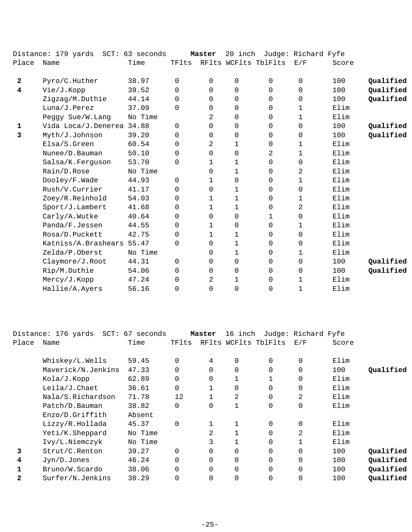|              | Distance: 179 yards SCT: 63 seconds |         |             | Master       | 20 inch     |                      | Judge: Richard Fyfe |       |           |
|--------------|-------------------------------------|---------|-------------|--------------|-------------|----------------------|---------------------|-------|-----------|
| Place        | Name                                | Time    | TFlts       |              |             | RFlts WCFlts TblFlts | E/F                 | Score |           |
| $\mathbf{2}$ | Pyro/C.Huther                       | 38.97   | $\Omega$    | $\Omega$     | $\mathbf 0$ | $\Omega$             | $\mathbf 0$         | 100   | Qualified |
| 4            | Vie/J.Kopp                          | 39.52   | $\Omega$    | $\Omega$     | $\mathbf 0$ | $\Omega$             | $\mathbf 0$         | 100   | Qualified |
|              | Zigzag/M.Duthie                     | 44.14   | 0           | 0            | 0           | 0                    | 0                   | 100   | Qualified |
|              | Luna/J.Perez                        | 37.09   | $\Omega$    | 0            | 0           | 0                    | 1                   | Elim  |           |
|              | Peggy Sue/W.Lang                    | No Time |             | 2            | 0           | $\Omega$             | $\mathbf{1}$        | Elim  |           |
| 1            | Vida Loca/J.Denerea 34.88           |         | $\mathbf 0$ | 0            | $\mathbf 0$ | 0                    | $\mathbf 0$         | 100   | Qualified |
| 3            | Myth/J.Johnson                      | 39.20   | 0           | 0            | 0           | 0                    | 0                   | 100   | Qualified |
|              | Elsa/S.Green                        | 60.54   | 0           | 2            | 1           | 0                    | 1                   | Elim  |           |
|              | Nunee/D.Bauman                      | 50.10   | $\Omega$    | $\Omega$     | $\mathbf 0$ | 2                    | 1                   | Elim  |           |
|              | Salsa/K.Ferguson                    | 53.70   | $\mathbf 0$ | $\mathbf 1$  | 1           | $\mathbf 0$          | 0                   | Elim  |           |
|              | Rain/D.Rose                         | No Time |             | 0            | $\mathbf 1$ | 0                    | 2                   | Elim  |           |
|              | Dooley/F.Wade                       | 44.93   | $\Omega$    | $\mathbf{1}$ | 0           | $\Omega$             | $\mathbf{1}$        | Elim  |           |
|              | Rush/V.Currier                      | 41.17   | $\Omega$    | $\Omega$     | 1           | $\Omega$             | $\mathbf 0$         | Elim  |           |
|              | Zoey/R.Reinhold                     | 54.03   | 0           | $\mathbf 1$  | $\mathbf 1$ | 0                    | $\mathbf 1$         | Elim  |           |
|              | Sport/J.Lambert                     | 41.68   | $\Omega$    | $\mathbf{1}$ | 1           | $\Omega$             | 2                   | Elim  |           |
|              | Carly/A.Wutke                       | 40.64   | 0           | $\Omega$     | $\mathbf 0$ | 1                    | $\mathbf 0$         | Elim  |           |
|              | Panda/F.Jessen                      | 44.55   | $\Omega$    | $\mathbf 1$  | $\mathbf 0$ | 0                    | 1                   | Elim  |           |
|              | Rosa/D.Puckett                      | 42.75   | $\mathbf 0$ | $\mathbf 1$  | 1           | 0                    | $\mathbf 0$         | Elim  |           |
|              | Katniss/A.Brashears 55.47           |         | $\Omega$    | $\Omega$     | 1           | 0                    | $\Omega$            | Elim  |           |
|              | Zelda/P.Oberst                      | No Time |             | $\Omega$     | 1           | 0                    | 1                   | Elim  |           |
|              | Claymore/J.Root                     | 44.31   | 0           | 0            | 0           | 0                    | $\mathbf 0$         | 100   | Qualified |
|              | Rip/M.Duthie                        | 54.06   | $\Omega$    | $\Omega$     | 0           | 0                    | 0                   | 100   | Qualified |
|              | Mercy/J.Kopp                        | 47.24   | 0           | 2            | 1           | 0                    | 1                   | Elim  |           |
|              | Hallie/A.Ayers                      | 56.16   | $\Omega$    | $\Omega$     | 0           | $\Omega$             | 1                   | Elim  |           |
|              |                                     |         |             |              |             |                      |                     |       |           |

|       | Distance: 176 yards | SCT: 67 seconds |          | Master   | 16 inch      |                      | Judge: Richard Fyfe |       |           |
|-------|---------------------|-----------------|----------|----------|--------------|----------------------|---------------------|-------|-----------|
| Place | Name                | Time            | TFlts    |          |              | RFlts WCFlts TblFlts | E/F                 | Score |           |
|       |                     |                 |          |          |              |                      |                     |       |           |
|       | Whiskey/L.Wells     | 59.45           | $\Omega$ | 4        | $\Omega$     | 0                    | $\mathbf 0$         | Elim  |           |
|       | Maverick/N.Jenkins  | 47.33           |          | $\Omega$ | $\Omega$     | 0                    | $\mathbf 0$         | 100   | Qualified |
|       | Kola/J.Kopp         | 62.89           | $\Omega$ | 0        |              |                      | 0                   | Elim  |           |
|       | Leila/J.Chaet       | 36.61           | $\Omega$ |          | $\Omega$     | 0                    | $\mathbf 0$         | Elim  |           |
|       | Nala/S.Richardson   | 71.78           | 12       |          | 2            | 0                    | 2                   | Elim  |           |
|       | Patch/D.Bauman      | 38.82           | $\Omega$ | $\Omega$ | $\mathbf{1}$ | 0                    | $\mathbf 0$         | Elim  |           |
|       | Enzo/D.Griffith     | Absent          |          |          |              |                      |                     |       |           |
|       | Lizzy/R.Hollada     | 45.37           | $\Omega$ |          |              | $\Omega$             | $\mathbf 0$         | Elim  |           |
|       | Yeti/K.Sheppard     | No Time         |          | 2        |              | 0                    | 2                   | Elim  |           |
|       | Ivy/L.Niemczyk      | No Time         |          |          |              | 0                    |                     | Elim  |           |
| 3     | Strut/C.Renton      | 39.27           | $\Omega$ | $\Omega$ | 0            | 0                    | $\mathbf 0$         | 100   | Qualified |
| 4     | Jyn/D.Jones         | 46.24           | $\Omega$ | 0        | 0            | 0                    | $\mathbf 0$         | 100   | Qualified |
|       | Bruno/W.Scardo      | 38.06           | $\Omega$ | $\Omega$ | $\Omega$     | 0                    | $\mathbf 0$         | 100   | Qualified |
| 2     | Surfer/N.Jenkins    | 38.29           |          | $\Omega$ | 0            | 0                    | $\mathbf 0$         | 100   | Qualified |
|       |                     |                 |          |          |              |                      |                     |       |           |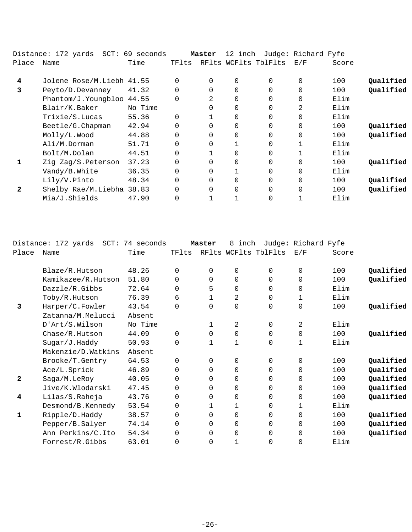|              | Distance: 172 yards  SCT: 69 seconds |         |          | Master   | 12 inch  |                      | Judge: Richard Fyfe |       |           |
|--------------|--------------------------------------|---------|----------|----------|----------|----------------------|---------------------|-------|-----------|
| Place        | Name                                 | Time    | TFlts    |          |          | RFlts WCFlts TblFlts | E/F                 | Score |           |
| 4            | Jolene Rose/M.Liebh 41.55            |         |          | $\Omega$ | $\Omega$ | 0                    | $\Omega$            | 100   | Qualified |
| 3            | Peyto/D.Devanney                     | 41.32   |          | $\Omega$ | $\Omega$ | $\Omega$             | $\Omega$            | 100   | Qualified |
|              | Phantom/J.Youngbloo 44.55            |         |          | 2        | $\Omega$ | $\Omega$             | $\mathbf 0$         | Elim  |           |
|              | Blair/K.Baker                        | No Time |          | $\Omega$ | $\Omega$ | $\Omega$             | 2                   | Elim  |           |
|              | Trixie/S.Lucas                       | 55.36   |          |          | $\Omega$ | $\Omega$             | $\Omega$            | Elim  |           |
|              | Beetle/G.Chapman                     | 42.94   |          | 0        | $\Omega$ | 0                    | $\mathbf 0$         | 100   | Qualified |
|              | Molly/L.Wood                         | 44.88   | $\Omega$ | $\Omega$ | $\Omega$ | $\Omega$             | $\Omega$            | 100   | Qualified |
|              | Ali/M.Dorman                         | 51.71   |          | 0        |          | $\Omega$             |                     | Elim  |           |
|              | Bolt/M.Dolan                         | 44.51   | $\Omega$ |          | $\Omega$ | $\Omega$             |                     | Elim  |           |
|              | Zig Zag/S.Peterson                   | 37.23   |          | 0        | $\Omega$ | $\Omega$             | $\Omega$            | 100   | Qualified |
|              | Vandy/B.White                        | 36.35   | $\Omega$ | $\Omega$ |          | $\Omega$             | $\Omega$            | Elim  |           |
|              | Lily/V.Pinto                         | 48.34   | $\Omega$ | $\Omega$ | $\Omega$ | $\Omega$             | $\Omega$            | 100   | Qualified |
| $\mathbf{2}$ | Shelby Rae/M.Liebha 38.83            |         |          | 0        | $\Omega$ | $\Omega$             | $\Omega$            | 100   | Qualified |
|              | Mia/J.Shields                        | 47.90   |          |          |          | 0                    |                     | Elim  |           |

|              | Distance: 172 yards<br>$SCT$ : | 74 seconds |          | Master       | inch<br>8    |                      | Judge: Richard Fyfe |       |           |
|--------------|--------------------------------|------------|----------|--------------|--------------|----------------------|---------------------|-------|-----------|
| Place        | Name                           | Time       | TFlts    |              |              | RFlts WCFlts TblFlts | E/F                 | Score |           |
|              | Blaze/R.Hutson                 | 48.26      | $\Omega$ | $\Omega$     | 0            | 0                    | $\Omega$            | 100   | Qualified |
|              | Kamikazee/R.Hutson             | 51.80      | $\Omega$ | $\Omega$     | $\Omega$     | $\Omega$             | $\mathbf 0$         | 100   | Qualified |
|              | Dazzle/R.Gibbs                 | 72.64      | $\Omega$ | 5            | $\mathbf 0$  | 0                    | $\mathbf 0$         | Elim  |           |
|              | Toby/R.Hutson                  | 76.39      | 6        | 1            | 2            | 0                    | 1                   | Elim  |           |
| 3            | Harper/C.Fowler                | 43.54      | $\Omega$ | $\Omega$     | $\Omega$     | 0                    | 0                   | 100   | Qualified |
|              | Zatanna/M.Melucci              | Absent     |          |              |              |                      |                     |       |           |
|              | D'Art/S.Wilson                 | No Time    |          | $\mathbf{1}$ | 2            | $\Omega$             | 2                   | Elim  |           |
|              | Chase/R.Hutson                 | 44.09      | $\Omega$ | 0            | $\mathbf 0$  | 0                    | $\mathbf 0$         | 100   | Qualified |
|              | Sugar/J.Haddy                  | 50.93      | $\Omega$ | $\mathbf{1}$ | $\mathbf{1}$ | $\Omega$             | $\mathbf{1}$        | Elim  |           |
|              | Makenzie/D.Watkins             | Absent     |          |              |              |                      |                     |       |           |
|              | Brooke/T.Gentry                | 64.53      | $\Omega$ | 0            | 0            | 0                    | 0                   | 100   | Qualified |
|              | Ace/L.Sprick                   | 46.89      | $\Omega$ | $\Omega$     | $\Omega$     | 0                    | $\mathbf 0$         | 100   | Qualified |
| $\mathbf{2}$ | Saga/M.LeRoy                   | 40.05      | $\Omega$ | $\Omega$     | $\Omega$     | $\Omega$             | $\mathbf 0$         | 100   | Qualified |
|              | Jive/K.Wlodarski               | 47.45      | $\Omega$ | 0            | $\mathbf 0$  | 0                    | 0                   | 100   | Qualified |
| 4            | Lilas/S.Raheja                 | 43.76      | $\Omega$ | 0            | $\mathbf 0$  | 0                    | $\mathbf 0$         | 100   | Qualified |
|              | Desmond/B.Kennedy              | 53.54      | $\Omega$ | 1            | 1            | 0                    | 1                   | Elim  |           |
| 1            | Ripple/D.Haddy                 | 38.57      | $\Omega$ | $\Omega$     | $\mathbf 0$  | 0                    | $\mathbf 0$         | 100   | Qualified |
|              | Pepper/B.Salyer                | 74.14      | 0        | 0            | $\Omega$     | 0                    | $\mathbf 0$         | 100   | Qualified |
|              | Ann Perkins/C.Ito              | 54.34      | $\Omega$ | 0            | $\mathbf 0$  | 0                    | $\mathbf 0$         | 100   | Qualified |
|              | Forrest/R.Gibbs                | 63.01      | 0        | $\Omega$     | $\mathbf{1}$ | 0                    | $\mathbf 0$         | Elim  |           |
|              |                                |            |          |              |              |                      |                     |       |           |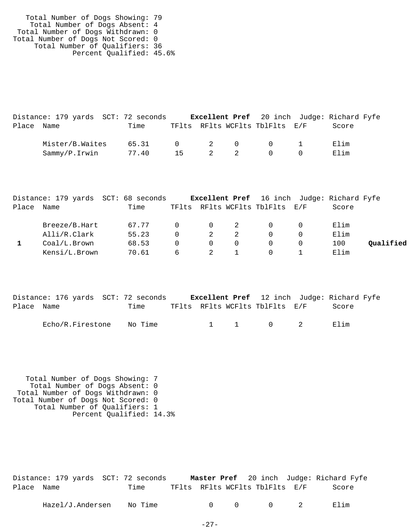| Total Number of Dogs Showing: 79   |  |
|------------------------------------|--|
| Total Number of Dogs Absent: 4     |  |
| Total Number of Dogs Withdrawn: 0  |  |
| Total Number of Dogs Not Scored: 0 |  |
| Total Number of Qualifiers: 36     |  |
| Percent Qualified: 45.6%           |  |
|                                    |  |

|            | Distance: 179 yards SCT: 72 seconds |                 |    |     | Excellent Pref 20 inch Judge: Richard Fyfe |       |  |
|------------|-------------------------------------|-----------------|----|-----|--------------------------------------------|-------|--|
| Place Name |                                     | Time            |    |     | TFlts RFlts WCFlts TblFlts E/F             | Score |  |
|            | Mister/B.Waites                     | 65.31 0 2 0 0 1 |    |     |                                            | Elim  |  |
|            | Sammy/P.Irwin                       | 77.40           | 15 | 2 2 | $\begin{array}{ccc} & & 0 \end{array}$     | Elim  |  |

|       |               | Distance: 179 yards SCT: 68 seconds |          |          |     | <b>Excellent Pref</b> 16 inch Judge: Richard Fyfe |       |           |
|-------|---------------|-------------------------------------|----------|----------|-----|---------------------------------------------------|-------|-----------|
| Place | Name          | Time                                |          |          |     | TFlts RFlts WCFlts TblFlts E/F                    | Score |           |
|       | Breeze/B.Hart | 67.77                               | $\Omega$ | $\Omega$ | - 2 | $\Omega$                                          | Elim  |           |
|       | Alli/R.Clark  | 55.23                               |          | 2        |     | $\Omega$                                          | Elim  |           |
|       | Coal/L.Brown  | 68.53                               |          | $\Omega$ |     | $\Omega$                                          | 100   | Oualified |
|       | Kensi/L.Brown | 70.61                               | 6        |          |     | $\left( \right)$                                  | Elim  |           |

|            | Distance: 176 yards SCT: 72 seconds |         |  | <b>Excellent Pref</b> 12 inch Judge: Richard Fyfe |       |  |
|------------|-------------------------------------|---------|--|---------------------------------------------------|-------|--|
| Place Name |                                     | Time    |  | TFlts RFlts WCFlts TblFlts E/F                    | Score |  |
|            | Echo/R.Firestone                    | No Time |  | $1 \quad 1 \quad 0 \quad 2$                       | Flim  |  |

 Total Number of Dogs Showing: 7 Total Number of Dogs Absent: 0 Total Number of Dogs Withdrawn: 0 Total Number of Dogs Not Scored: 0 Total Number of Qualifiers: 1 Percent Qualified: 14.3%

|            | Distance: 179 yards SCT: 72 seconds |                                | <b>Master Pref</b> 20 inch Judge: Richard Fyfe |       |
|------------|-------------------------------------|--------------------------------|------------------------------------------------|-------|
| Place Name | Time                                | TFlts RFlts WCFlts TblFlts E/F |                                                | Score |
|            |                                     |                                |                                                |       |

| Hazel/J.Andersen | $\sim$<br>Νc<br>™⊥me |  |  |  |  | ⊥ım<br><br>п. |
|------------------|----------------------|--|--|--|--|---------------|
|------------------|----------------------|--|--|--|--|---------------|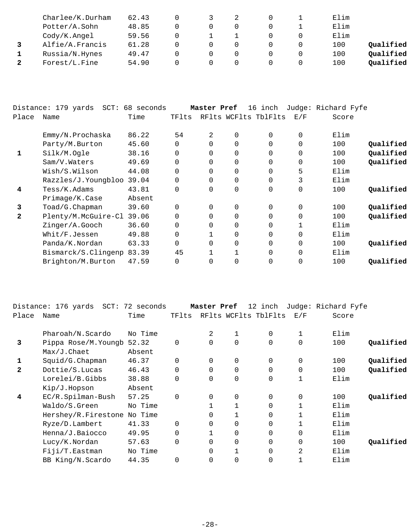| Charlee/K.Durham | 62.43 |  |  | Elim |           |
|------------------|-------|--|--|------|-----------|
| Potter/A.Sohn    | 48.85 |  |  | Elim |           |
| Cody/K.Angel     | 59.56 |  |  | Elim |           |
| Alfie/A.Francis  | 61.28 |  |  | 100  | Qualified |
| Russia/N.Hynes   | 49.47 |  |  | 100  | Qualified |
| Forest/L.Fine    | 54.90 |  |  | 100  | Qualified |

|       | $SCT$ :<br>Distance: 179 yards | 68 seconds |          | Master Pref |             | 16 inch              |             | Judge: Richard Fyfe |           |
|-------|--------------------------------|------------|----------|-------------|-------------|----------------------|-------------|---------------------|-----------|
| Place | Name                           | Time       | TFlts    |             |             | RFlts WCFlts TblFlts | E/F         | Score               |           |
|       | Emmy/N.Prochaska               | 86.22      | 54       | 2           | $\Omega$    | $\Omega$             | $\mathbf 0$ | Elim                |           |
|       | Party/M.Burton                 | 45.60      | $\Omega$ | $\Omega$    | $\mathbf 0$ | $\Omega$             | 0           | 100                 | Qualified |
| 1     | Silk/M.Oqle                    | 38.16      | $\Omega$ | $\Omega$    | 0           | $\Omega$             | $\mathbf 0$ | 100                 | Qualified |
|       | Sam/V.Waters                   | 49.69      | $\Omega$ |             | 0           | $\Omega$             | $\mathbf 0$ | 100                 | Qualified |
|       | Wish/S.Wilson                  | 44.08      | $\Omega$ |             | $\Omega$    | $\Omega$             | 5           | Elim                |           |
|       | Razzles/J.Youngbloo            | 39.04      | 0        | 0           | $\mathbf 0$ | $\Omega$             | 3           | Elim                |           |
| 4     | Tess/K.Adams                   | 43.81      | $\Omega$ | $\Omega$    | $\mathbf 0$ | $\Omega$             | $\mathbf 0$ | 100                 | Qualified |
|       | Primaqe/K.Case                 | Absent     |          |             |             |                      |             |                     |           |
| 3     | Toad/G.Chapman                 | 39.60      | $\Omega$ | $\Omega$    | $\mathbf 0$ | $\Omega$             | 0           | 100                 | Qualified |
| 2     | Plenty/M.McGuire-Cl            | 39.06      | $\Omega$ | $\Omega$    | $\mathbf 0$ | $\Omega$             | $\mathbf 0$ | 100                 | Qualified |
|       | Zinger/A.Gooch                 | 36.60      | $\Omega$ | $\Omega$    | $\Omega$    | $\Omega$             | 1           | Elim                |           |
|       | Whit/F.Jessen                  | 49.88      | $\Omega$ |             | $\mathbf 0$ | $\Omega$             | $\mathbf 0$ | Elim                |           |
|       | Panda/K.Nordan                 | 63.33      | $\Omega$ | $\Omega$    | $\mathbf 0$ | $\Omega$             | $\mathbf 0$ | 100                 | Qualified |
|       | Bismarck/S.Clingenp            | 83.39      | 45       |             |             | $\Omega$             | $\Omega$    | Elim                |           |
|       | Brighton/M.Burton              | 47.59      | $\Omega$ |             | 0           | $\Omega$             | 0           | 100                 | Oualified |
|       |                                |            |          |             |             |                      |             |                     |           |

|              | Distance: 176 yards  SCT: | 72 seconds |          | Master Pref |             | 12 inch              |                | Judge: Richard Fyfe |           |
|--------------|---------------------------|------------|----------|-------------|-------------|----------------------|----------------|---------------------|-----------|
| Place        | Name                      | Time       | TFlts    |             |             | RFlts WCFlts TblFlts | E/F            | Score               |           |
|              | Pharoah/N.Scardo          | No Time    |          | 2           |             | $\mathbf 0$          | 1              | Elim                |           |
| 3            | Pippa Rose/M.Youngb       | 52.32      | $\Omega$ | $\Omega$    | $\Omega$    | 0                    | $\mathbf 0$    | 100                 | Qualified |
|              | $Max/J$ . Chaet           | Absent     |          |             |             |                      |                |                     |           |
| 1            | Squid/G.Chapman           | 46.37      | $\Omega$ | $\Omega$    | 0           | $\Omega$             | $\mathbf 0$    | 100                 | Qualified |
| $\mathbf{2}$ | Dottie/S.Lucas            | 46.43      | $\Omega$ | $\Omega$    | $\Omega$    | 0                    | $\Omega$       | 100                 | Qualified |
|              | Lorelei/B.Gibbs           | 38.88      | $\Omega$ | $\Omega$    | $\mathbf 0$ | 0                    | 1              | Elim                |           |
|              | Kip/J.Hopson              | Absent     |          |             |             |                      |                |                     |           |
| 4            | EC/R.Spilman-Bush         | 57.25      | $\Omega$ | 0           | 0           | $\mathbf 0$          | 0              | 100                 | Qualified |
|              | Waldo/S.Green             | No Time    |          |             |             | 0                    | 1              | Elim                |           |
|              | Hershey/R.Firestone       | No Time    |          | $\Omega$    |             | 0                    |                | Elim                |           |
|              | Ryze/D.Lambert            | 41.33      | $\Omega$ | $\Omega$    | 0           | 0                    |                | Elim                |           |
|              | Henna/J.Baiocco           | 49.95      |          |             | $\Omega$    | 0                    | $\mathbf 0$    | Elim                |           |
|              | Lucy/K.Nordan             | 57.63      | $\Omega$ | $\Omega$    | 0           | 0                    | $\overline{0}$ | 100                 | Oualified |
|              | Fiji/T.Eastman            | No Time    |          | $\Omega$    |             | 0                    | 2              | Elim                |           |
|              | BB King/N.Scardo          | 44.35      |          | $\Omega$    | 0           | 0                    |                | Elim                |           |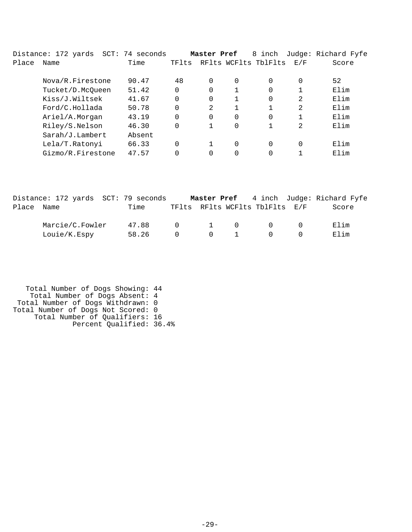|       | Distance: 172 yards | SCT: 74 seconds |          | Master Pref |          | 8 inch               |                | Judge: Richard Fyfe |
|-------|---------------------|-----------------|----------|-------------|----------|----------------------|----------------|---------------------|
| Place | Name                | Time            | TFlts    |             |          | RFlts WCFlts TblFlts | E/F            | Score               |
|       | Nova/R.Firestone    | 90.47           | 48       | $\Omega$    | 0        | $\Omega$             | $\Omega$       | 52                  |
|       | Tucket/D.McQueen    | 51.42           | 0        | $\Omega$    |          | $\Omega$             |                | Elim                |
|       | Kiss/J.Wiltsek      | 41.67           | 0        | 0           |          | 0                    | 2              | Elim                |
|       | Ford/C.Hollada      | 50.78           | 0        | 2           |          | 1                    | $\overline{2}$ | Elim                |
|       | Ariel/A.Morgan      | 43.19           | $\Omega$ | $\Omega$    | $\Omega$ | 0                    |                | Elim                |
|       | Riley/S.Nelson      | 46.30           | 0        |             | 0        | 1                    | $\overline{2}$ | Elim                |
|       | Sarah/J.Lambert     | Absent          |          |             |          |                      |                |                     |
|       | Lela/T.Ratonyi      | 66.33           | 0        |             | $\Omega$ | $\Omega$             | $\Omega$       | Elim                |
|       | Gizmo/R.Firestone   | 47.57           |          | 0           | 0        | 0                    |                | Elim                |

|            | Distance: 172 yards SCT: 79 seconds |       |                       |                                        |                                | <b>Master Pref</b> 4 inch Judge: Richard Fyfe |
|------------|-------------------------------------|-------|-----------------------|----------------------------------------|--------------------------------|-----------------------------------------------|
| Place Name |                                     | Time  |                       |                                        | TFlts RFlts WCFlts TblFlts E/F | Score                                         |
|            | Marcie/C.Fowler                     | 47.88 | $\Omega$ and $\Omega$ | $\begin{matrix} 1 & 0 \end{matrix}$    | $\cap$                         | Elim                                          |
|            | Louie/K.Espy                        | 58.26 | $\Omega$              | $\begin{array}{ccc} 0 & 1 \end{array}$ | $\Omega$                       | Elim                                          |

 Total Number of Dogs Showing: 44 Total Number of Dogs Absent: 4 Total Number of Dogs Withdrawn: 0 Total Number of Dogs Not Scored: 0 Total Number of Qualifiers: 16 Percent Qualified: 36.4%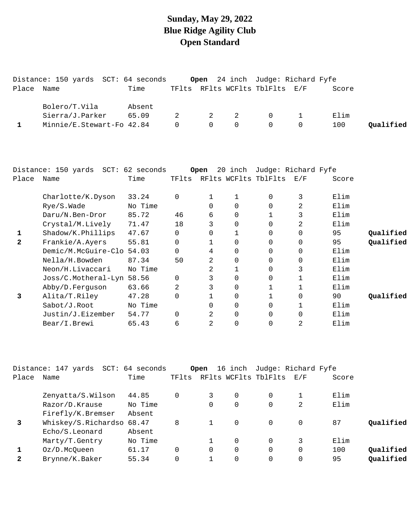#### **Sunday, May 29, 2022 Blue Ridge Agility Club Open Standard**

|            | Distance: 150 yards SCT: 64 seconds |        |     |                                     |                | Open 24 inch Judge: Richard Fyfe       |                |       |           |
|------------|-------------------------------------|--------|-----|-------------------------------------|----------------|----------------------------------------|----------------|-------|-----------|
| Place Name |                                     | Time   |     |                                     |                | TFlts RFlts WCFlts TblFlts E/F         |                | Score |           |
|            | Bolero/T.Vila                       | Absent |     |                                     |                |                                        |                |       |           |
|            | Sierra/J.Parker                     | 65.09  | 2 — | 2 2                                 |                | $\begin{array}{ccc} 0 & 1 \end{array}$ |                | Elim  |           |
|            | Minnie/E.Stewart-Fo 42.84           |        |     | $\begin{matrix} 0 & 0 \end{matrix}$ | $\overline{0}$ | $\overline{0}$                         | $\overline{0}$ | 100   | Oualified |

|       | Distance: 150 yards SCT: 62 seconds |         |          | Open     | 20<br>inch           |          | Judge: Richard Fyfe                                       |       |           |
|-------|-------------------------------------|---------|----------|----------|----------------------|----------|-----------------------------------------------------------|-------|-----------|
| Place | Name                                | Time    | TFlts    |          | RFlts WCFlts TblFlts |          | $\mathop{\rm E{}}\nolimits$ / $\mathop{\rm F{}}\nolimits$ | Score |           |
|       | Charlotte/K.Dyson                   | 33.24   | 0        |          |                      | $\Omega$ | 3                                                         | Elim  |           |
|       | Rye/S.Wade                          | No Time |          | $\Omega$ | 0                    | $\Omega$ | 2                                                         | Elim  |           |
|       | Daru/N.Ben-Dror                     | 85.72   | 46       | 6        | 0                    |          | 3                                                         | Elim  |           |
|       | Crystal/M.Lively                    | 71.47   | 18       | 3        | 0                    | $\Omega$ | 2                                                         | Elim  |           |
|       | Shadow/K.Phillips                   | 47.67   | 0        | 0        |                      | $\Omega$ | 0                                                         | 95    | Qualified |
| 2     | Frankie/A.Ayers                     | 55.81   | $\Omega$ |          | $\Omega$             | $\Omega$ | $\Omega$                                                  | 95    | Qualified |
|       | Demic/M.McGuire-Clo 54.03           |         | $\Omega$ | 4        | $\Omega$             | 0        | $\Omega$                                                  | Elim  |           |
|       | Nella/H.Bowden                      | 87.34   | 50       | 2        | 0                    | $\Omega$ | 0                                                         | Elim  |           |
|       | Neon/H.Livaccari                    | No Time |          | 2        |                      | $\Omega$ | 3                                                         | Elim  |           |
|       | Joss/C.Motheral-Lyn                 | 58.56   | $\Omega$ | 3        | $\Omega$             | $\Omega$ |                                                           | Elim  |           |
|       | Abby/D.Ferguson                     | 63.66   | 2        | 3        | $\Omega$             |          |                                                           | Elim  |           |
| 3     | Alita/T.Riley                       | 47.28   | 0        |          | $\Omega$             |          | $\Omega$                                                  | 90    | Oualified |
|       | Sabot/J.Root                        | No Time |          | $\Omega$ | $\Omega$             | 0        |                                                           | Elim  |           |
|       | Justin/J.Eizember                   | 54.77   | $\Omega$ | 2        | $\Omega$             | $\Omega$ | $\Omega$                                                  | Elim  |           |
|       | Bear/I.Brewi                        | 65.43   | 6        | 2        | $\Omega$             | 0        | 2                                                         | Elim  |           |

|              | Distance: 147 yards<br>SCT: | 64 seconds |       | Open     | 16 inch  | Judge: Richard Fyfe      |          |       |           |
|--------------|-----------------------------|------------|-------|----------|----------|--------------------------|----------|-------|-----------|
| Place        | Name                        | Time       | TFlts |          |          | RFlts WCFlts TblFlts E/F |          | Score |           |
|              | Zenyatta/S.Wilson           | 44.85      |       | 3        | $\Omega$ | $\Omega$                 |          | Elim  |           |
|              | Razor/D.Krause              | No Time    |       | 0        | 0        | 0                        | 2        | Elim  |           |
|              | Firefly/K.Bremser           | Absent     |       |          |          |                          |          |       |           |
| 3            | Whiskey/S.Richardso 68.47   |            | 8     |          | $\Omega$ | $\Omega$                 | 0        | 87    | Oualified |
|              | Echo/S.Leonard              | Absent     |       |          |          |                          |          |       |           |
|              | Marty/T.Gentry              | No Time    |       |          | 0        | $\Omega$                 | 3        | Elim  |           |
|              | Oz/D.McOueen                | 61.17      |       | $\Omega$ | $\Omega$ | $\Omega$                 | $\Omega$ | 100   | Qualified |
| $\mathbf{2}$ | Brynne/K.Baker              | 55.34      |       |          | 0        | 0                        |          | 95    | Qualified |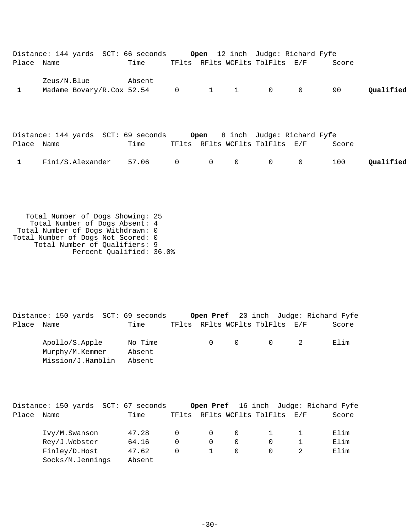|            |             |  | Distance: 144 yards SCT: 66 seconds         |  | <b>Open</b> 12 inch Judge: Richard Fyfe                                  |                |                |       |           |
|------------|-------------|--|---------------------------------------------|--|--------------------------------------------------------------------------|----------------|----------------|-------|-----------|
| Place Name |             |  | Time                                        |  | TFlts RFlts WCFlts TblFlts E/F                                           |                |                | Score |           |
| 1          | Zeus/N.Blue |  | Absent<br>Madame Bovary/R.Cox 52.54 0       |  | $1 \quad 1$                                                              | $\overline{0}$ | $\overline{0}$ | 90    | Oualified |
| Place Name |             |  | Distance: 144 yards SCT: 69 seconds<br>Time |  | <b>Open</b> 8 inch Judge: Richard Fyfe<br>TFlts RFlts WCFlts TblFlts E/F |                |                | Score |           |

| 1 Fini/S.Alexander 57.06 0 0 0 0 0 0 100 Qualified |  |  |  |  |
|----------------------------------------------------|--|--|--|--|
|                                                    |  |  |  |  |

 Total Number of Dogs Showing: 25 Total Number of Dogs Absent: 4 Total Number of Dogs Withdrawn: 0 Total Number of Dogs Not Scored: 0 Total Number of Qualifiers: 9 Percent Qualified: 36.0%

Distance: 150 yards SCT: 69 seconds **Open Pref** 20 inch Judge: Richard Fyfe Place Name Time TFlts RFlts WCFlts TblFlts E/F Score Apollo/S.Apple No Time 0 0 0 0 2 Elim Murphy/M.Kemmer Absent Mission/J.Hamblin Absent

|       | Distance: 150 yards | SCT: 67 seconds |          |              |          |                      |     | Open Pref 16 inch Judge: Richard Fyfe |
|-------|---------------------|-----------------|----------|--------------|----------|----------------------|-----|---------------------------------------|
| Place | Name                | Time            | TFlts    |              |          | RFlts WCFlts TblFlts | E/F | Score                                 |
|       | Ivy/M.Swanson       | 47.28           | $\cap$   | $\Omega$     | $\Omega$ |                      |     | Elim                                  |
|       | Rey/J.Webster       | 64.16           | $\Omega$ | $\Omega$     | $\Omega$ |                      |     | Elim                                  |
|       | Finley/D.Host       | 47.62           | $\cap$   | $\mathbf{1}$ | $\Omega$ |                      |     | Elim                                  |
|       | Socks/M.Jennings    | Absent          |          |              |          |                      |     |                                       |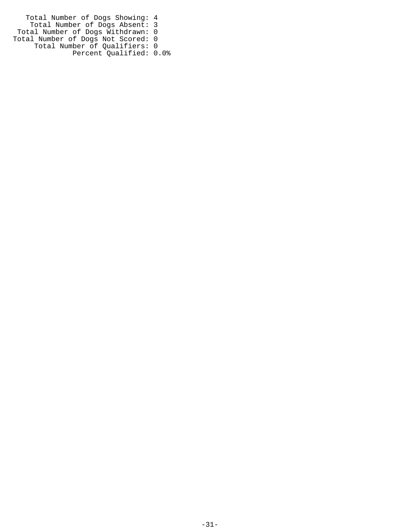Total Number of Dogs Showing: 4 Total Number of Dogs Absent: 3 Total Number of Dogs Withdrawn: 0 Total Number of Dogs Not Scored: 0 Total Number of Qualifiers: 0 Percent Qualified: 0.0%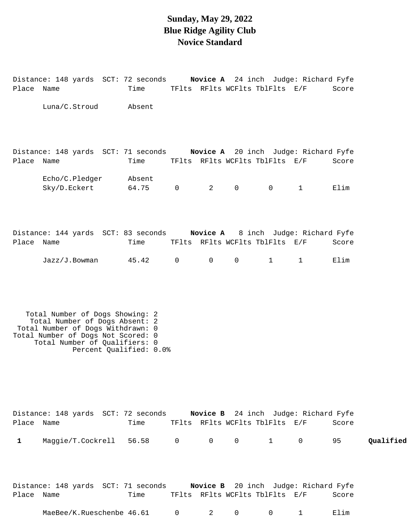### **Sunday, May 29, 2022 Blue Ridge Agility Club Novice Standard**

Distance: 148 yards SCT: 72 seconds **Novice A** 24 inch Judge: Richard Fyfe Place Name Time TFlts RFlts WCFlts TblFlts E/F Score

|            | Luna/C.Stroud                                                                                                                                                                                            | Absent                  |                |                                |                                                  |                        |                                                |                 |           |
|------------|----------------------------------------------------------------------------------------------------------------------------------------------------------------------------------------------------------|-------------------------|----------------|--------------------------------|--------------------------------------------------|------------------------|------------------------------------------------|-----------------|-----------|
| Place Name | Distance: 148 yards SCT: 71 seconds Novice A 20 inch Judge: Richard Fyfe<br>Echo/C.Pledger<br>Sky/D.Eckert                                                                                               | Time<br>Absent<br>64.75 | $\mathbf 0$    | $2 \left( \frac{1}{2} \right)$ | TFlts RFlts WCFlts TblFlts E/F<br>$\mathsf{O}$   | $\overline{0}$         | $\mathbf{1}$                                   | Score<br>Elim   |           |
| Place Name | Distance: 144 yards SCT: 83 seconds Novice A 8 inch Judge: Richard Fyfe<br>Jazz/J.Bowman                                                                                                                 | Time<br>45.42           | $\mathsf{O}$   | $\mathsf{O}$                   | TFlts RFlts WCFlts TblFlts E/F<br>$\overline{0}$ | $\mathbf{1}$           | $\mathbf{1}$                                   | Score<br>Elim   |           |
|            | Total Number of Dogs Showing: 2<br>Total Number of Dogs Absent: 2<br>Total Number of Dogs Withdrawn: 0<br>Total Number of Dogs Not Scored: 0<br>Total Number of Qualifiers: 0<br>Percent Qualified: 0.0% |                         |                |                                |                                                  |                        |                                                |                 |           |
| Place Name | Distance: 148 yards SCT: 72 seconds Novice B 24 inch Judge: Richard Fyfe<br>1 Maggie/T.Cockrell 56.58 0                                                                                                  | Time                    |                | $0 \qquad \qquad$              | $\overline{0}$                                   | $1 \quad \blacksquare$ | TFlts RFlts WCFlts TblFlts E/F                 | Score<br>$0$ 95 | Qualified |
| Place Name | Distance: 148 yards SCT: 71 seconds Novice B 20 inch Judge: Richard Fyfe<br>MaeBee/K.Rueschenbe 46.61                                                                                                    | Time                    | $\overline{0}$ | 2                              | $\overline{0}$                                   | 0                      | TFlts RFlts WCFlts TblFlts E/F<br>$\mathbf{1}$ | Score<br>Elim   |           |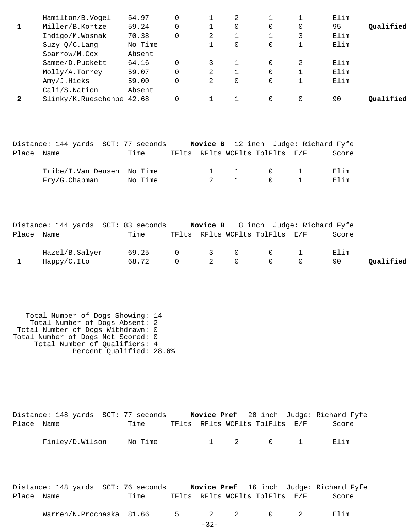| Hamilton/B.Vogel  | 54.97   |                           |   | 2 |          |   | Elim |           |
|-------------------|---------|---------------------------|---|---|----------|---|------|-----------|
| Miller/B.Kortze   | 59.24   |                           |   | 0 | 0        | 0 | 95   | Oualified |
| Indigo/M.Wosnak   | 70.38   |                           | 2 |   |          | 3 | Elim |           |
| Suzy $Q/C$ . Lang | No Time |                           |   | 0 | $\Omega$ |   | Elim |           |
| Sparrow/M.Cox     | Absent  |                           |   |   |          |   |      |           |
| Samee/D.Puckett   | 64.16   | 0                         |   |   | $\Omega$ | 2 | Elim |           |
| Molly/A.Torrey    | 59.07   |                           | 2 |   | $\Omega$ |   | Elim |           |
| Amy/J.Hicks       | 59.00   |                           | 2 | 0 | $\Omega$ |   | Elim |           |
| Cali/S.Nation     | Absent  |                           |   |   |          |   |      |           |
|                   |         |                           |   |   | $\Omega$ |   | 90   | Oualified |
|                   |         | Slinky/K.Rueschenbe 42.68 |   |   |          |   |      |           |

|            | Distance: 144 yards SCT: 77 seconds |         |               |          |                                 | Novice B 12 inch Judge: Richard Fyfe |
|------------|-------------------------------------|---------|---------------|----------|---------------------------------|--------------------------------------|
| Place Name |                                     | Time    |               |          | TFlts RFlts WCFlts TblFlts E/F  | Score                                |
|            | Tribe/T.Van Deusen No Time          |         |               |          | $1 \quad 1 \quad 0 \quad 1$     | Elim                                 |
|            | Fry/G.Chapman                       | No Time | $\sim$ $\sim$ | $\sim$ 1 | $\begin{matrix}0&1\end{matrix}$ | Elim                                 |

|            | Distance: 144 yards SCT: 83 seconds |       |  |                                | <b>Novice B</b> 8 inch Judge: Richard Fyfe |       |           |
|------------|-------------------------------------|-------|--|--------------------------------|--------------------------------------------|-------|-----------|
| Place Name |                                     | Time  |  | TFlts RFlts WCFlts TblFlts E/F |                                            | Score |           |
|            | Hazel/B.Salyer                      | 69.25 |  |                                |                                            | Elim  |           |
|            | Happy/C.Ito                         | 68.72 |  | $0 \qquad 2 \qquad 0 \qquad 0$ | $\overline{0}$                             | 90    | Qualified |

 Total Number of Dogs Showing: 14 Total Number of Dogs Absent: 2 Total Number of Dogs Withdrawn: 0 Total Number of Dogs Not Scored: 0 Total Number of Qualifiers: 4 Percent Qualified: 28.6%

|            | Distance: 148 yards SCT: 77 seconds |         |  |                                | Novice Pref 20 inch Judge: Richard Fyfe |
|------------|-------------------------------------|---------|--|--------------------------------|-----------------------------------------|
| Place Name |                                     | Time    |  | TFlts RFlts WCFlts TblFlts E/F | Score                                   |
|            | Finley/D.Wilson                     | No Time |  | 1 2 0 1                        | Flim                                    |

Distance: 148 yards SCT: 76 seconds **Novice Pref** 16 inch Judge: Richard Fyfe Place Name Time TFlts RFlts WCFlts TblFlts E/F Score

Warren/N.Prochaska 81.66 5 2 2 0 2 Elim

-32-